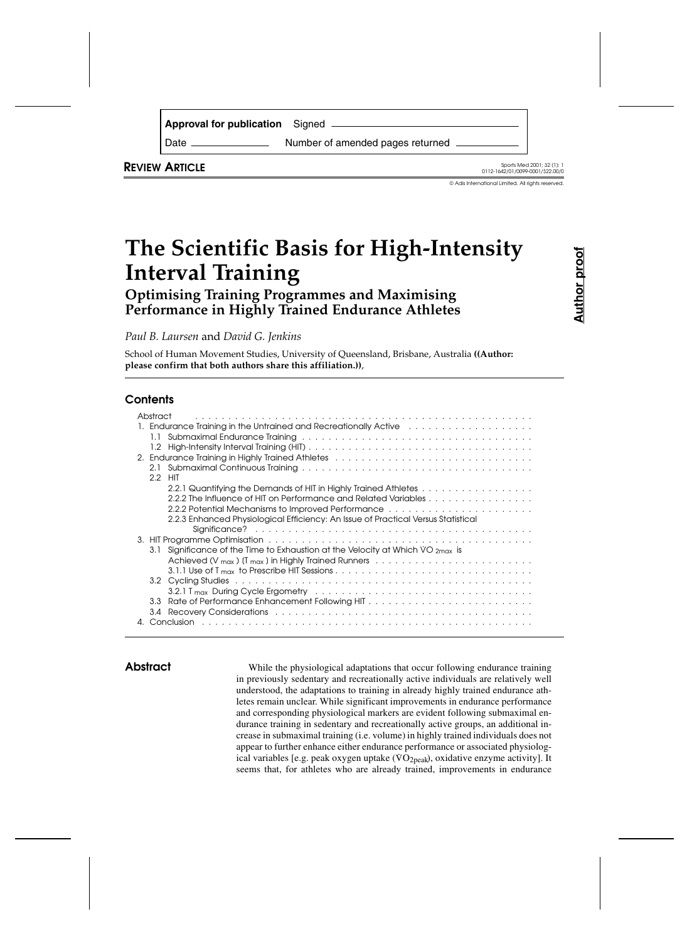| <b>Approval for publication</b> Signed |                                  |
|----------------------------------------|----------------------------------|
| Date                                   | Number of amended pages returned |

**REVIEW ARTICLE** Sports Med 2001; 32 (1): 1

© Adis International Limited. All rights reserved.

# **The Scientific Basis for High-Intensity Interval Training**

**Optimising Training Programmes and Maximising Performance in Highly Trained Endurance Athletes**

*Paul B. Laursen* and *David G. Jenkins*

School of Human Movement Studies, University of Queensland, Brisbane, Australia **((Author: please confirm that both authors share this affiliation.))**,

# **Contents**

| Abstract<br>1.1                                                                                                                 |
|---------------------------------------------------------------------------------------------------------------------------------|
| 2. Endurance Training in Highly Trained Athletes                                                                                |
| 2.1<br>2.2 HIT                                                                                                                  |
| 2.2.1 Quantifying the Demands of HIT in Highly Trained Athletes                                                                 |
| 2.2.2 The Influence of HIT on Performance and Related Variables                                                                 |
| 2.2.2 Potential Mechanisms to Improved Performance runders and runders and runders and runders and runders and                  |
| 2.2.3 Enhanced Physiological Efficiency: An Issue of Practical Versus Statistical                                               |
|                                                                                                                                 |
|                                                                                                                                 |
| Significance of the Time to Exhaustion at the Velocity at Which $\dot{V}O_{2max}$ is<br>3.1                                     |
| Achieved (V $_{max}$ ) (T $_{max}$ ) in Highly Trained Runners $\ldots \ldots \ldots \ldots \ldots \ldots \ldots \ldots \ldots$ |
|                                                                                                                                 |
| 3.2 Cycling Studies (and all and all and all and all and all and all and all and all and all and all and all a                  |
|                                                                                                                                 |
| 3.3                                                                                                                             |
| 3.4                                                                                                                             |
| Conclusion                                                                                                                      |

Abstract While the physiological adaptations that occur following endurance training in previously sedentary and recreationally active individuals are relatively well understood, the adaptations to training in already highly trained endurance athletes remain unclear. While significant improvements in endurance performance and corresponding physiological markers are evident following submaximal endurance training in sedentary and recreationally active groups, an additional increase in submaximal training (i.e. volume) in highly trained individuals does not appear to further enhance either endurance performance or associated physiolog-. ical variables [e.g. peak oxygen uptake (VO<sub>2peak</sub>), oxidative enzyme activity]. It seems that, for athletes who are already trained, improvements in endurance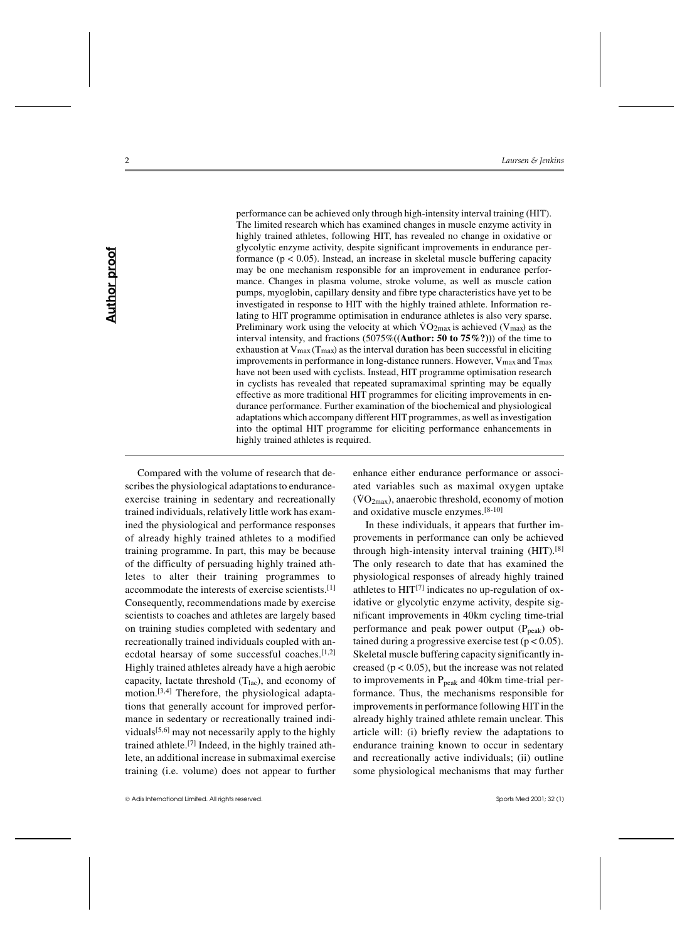performance can be achieved only through high-intensity interval training (HIT). The limited research which has examined changes in muscle enzyme activity in highly trained athletes, following HIT, has revealed no change in oxidative or glycolytic enzyme activity, despite significant improvements in endurance performance  $(p < 0.05)$ . Instead, an increase in skeletal muscle buffering capacity may be one mechanism responsible for an improvement in endurance performance. Changes in plasma volume, stroke volume, as well as muscle cation pumps, myoglobin, capillary density and fibre type characteristics have yet to be investigated in response to HIT with the highly trained athlete. Information relating to HIT programme optimisation in endurance athletes is also very sparse. . Preliminary work using the velocity at which  $\text{VO}_2$ <sub>max</sub> is achieved ( $\text{V}_{\text{max}}$ ) as the interval intensity, and fractions (5075%**((Author: 50 to 75%?))**) of the time to exhaustion at  $V_{max}(T_{max})$  as the interval duration has been successful in eliciting improvements in performance in long-distance runners. However,  $V_{max}$  and  $T_{max}$ have not been used with cyclists. Instead, HIT programme optimisation research in cyclists has revealed that repeated supramaximal sprinting may be equally effective as more traditional HIT programmes for eliciting improvements in endurance performance. Further examination of the biochemical and physiological adaptations which accompany different HIT programmes, as well as investigation into the optimal HIT programme for eliciting performance enhancements in highly trained athletes is required.

Compared with the volume of research that describes the physiological adaptations to enduranceexercise training in sedentary and recreationally trained individuals, relatively little work has examined the physiological and performance responses of already highly trained athletes to a modified training programme. In part, this may be because of the difficulty of persuading highly trained athletes to alter their training programmes to accommodate the interests of exercise scientists.[1] Consequently, recommendations made by exercise scientists to coaches and athletes are largely based on training studies completed with sedentary and recreationally trained individuals coupled with anecdotal hearsay of some successful coaches.[1,2] Highly trained athletes already have a high aerobic capacity, lactate threshold  $(T<sub>lac</sub>)$ , and economy of motion.[3,4] Therefore, the physiological adaptations that generally account for improved performance in sedentary or recreationally trained individuals $[5,6]$  may not necessarily apply to the highly trained athlete.[7] Indeed, in the highly trained athlete, an additional increase in submaximal exercise training (i.e. volume) does not appear to further enhance either endurance performance or associated variables such as maximal oxygen uptake  $(VO<sub>2max</sub>)$ , anaerobic threshold, economy of motion and oxidative muscle enzymes.[8-10]

In these individuals, it appears that further improvements in performance can only be achieved through high-intensity interval training (HIT).[8] The only research to date that has examined the physiological responses of already highly trained athletes to  $HIT^{[7]}$  indicates no up-regulation of oxidative or glycolytic enzyme activity, despite significant improvements in 40km cycling time-trial performance and peak power output  $(P_{peak})$  obtained during a progressive exercise test ( $p < 0.05$ ). Skeletal muscle buffering capacity significantly increased ( $p < 0.05$ ), but the increase was not related to improvements in  $P_{peak}$  and 40km time-trial performance. Thus, the mechanisms responsible for improvements in performance following HIT in the already highly trained athlete remain unclear. This article will: (i) briefly review the adaptations to endurance training known to occur in sedentary and recreationally active individuals; (ii) outline some physiological mechanisms that may further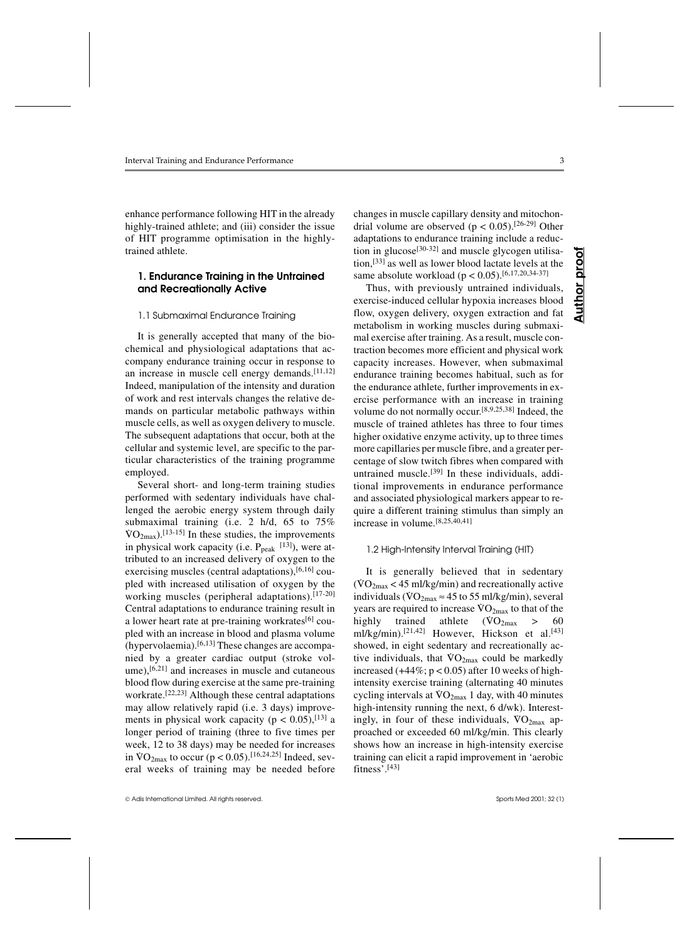enhance performance following HIT in the already highly-trained athlete; and (iii) consider the issue of HIT programme optimisation in the highlytrained athlete.

# **1. Endurance Training in the Untrained and Recreationally Active**

#### 1.1 Submaximal Endurance Training

It is generally accepted that many of the biochemical and physiological adaptations that accompany endurance training occur in response to an increase in muscle cell energy demands.  $[11,12]$ Indeed, manipulation of the intensity and duration of work and rest intervals changes the relative demands on particular metabolic pathways within muscle cells, as well as oxygen delivery to muscle. The subsequent adaptations that occur, both at the cellular and systemic level, are specific to the particular characteristics of the training programme employed.

Several short- and long-term training studies performed with sedentary individuals have challenged the aerobic energy system through daily submaximal training (i.e. 2 h/d, 65 to 75%  $\text{VO}_{2\text{max}}$ ).<sup>[13-15]</sup> In these studies, the improvements in physical work capacity (i.e.  $P_{peak}$ <sup>[13]</sup>), were attributed to an increased delivery of oxygen to the exercising muscles (central adaptations), $[6,16]$  coupled with increased utilisation of oxygen by the working muscles (peripheral adaptations).<sup>[17-20]</sup> Central adaptations to endurance training result in a lower heart rate at pre-training workrates $[6]$  coupled with an increase in blood and plasma volume (hypervolaemia).[6,13] These changes are accompanied by a greater cardiac output (stroke volume),<sup>[6,21]</sup> and increases in muscle and cutaneous blood flow during exercise at the same pre-training workrate.[22,23] Although these central adaptations may allow relatively rapid (i.e. 3 days) improvements in physical work capacity ( $p < 0.05$ ),<sup>[13]</sup> a longer period of training (three to five times per week, 12 to 38 days) may be needed for increases in  $VO<sub>2max</sub>$  to so days) may be needed for mercases<br>in  $VO<sub>2max</sub>$  to occur (p < 0.05).<sup>[16,24,25]</sup> Indeed, several weeks of training may be needed before changes in muscle capillary density and mitochondrial volume are observed ( $p < 0.05$ ).<sup>[26-29]</sup> Other adaptations to endurance training include a reduction in glucose $[30-32]$  and muscle glycogen utilisation,[33] as well as lower blood lactate levels at the same absolute workload ( $p < 0.05$ ).<sup>[6,17,20,34-37]</sup>

Thus, with previously untrained individuals, exercise-induced cellular hypoxia increases blood flow, oxygen delivery, oxygen extraction and fat metabolism in working muscles during submaximal exercise after training. As a result, muscle contraction becomes more efficient and physical work capacity increases. However, when submaximal endurance training becomes habitual, such as for the endurance athlete, further improvements in exercise performance with an increase in training volume do not normally occur.[8,9,25,38] Indeed, the muscle of trained athletes has three to four times higher oxidative enzyme activity, up to three times more capillaries per muscle fibre, and a greater percentage of slow twitch fibres when compared with untrained muscle.<sup>[39]</sup> In these individuals, additional improvements in endurance performance and associated physiological markers appear to require a different training stimulus than simply an increase in volume.[8,25,40,41]

#### 1.2 High-Intensity Interval Training (HIT)

It is generally believed that in sedentary  $(VO_{2max} < 45$  ml/kg/min) and recreationally active ( $\sqrt{O_{2max}} \approx 45$  m/kg/mm/and recreationally active individuals ( $\sqrt{O_{2max}} \approx 45$  to 55 ml/kg/min), several  $y$ ears are required to increase  $VO_{2max}$  to that of the highly trained athlete  $(\text{VO}_2)_{\text{max}} > 60$ ml/kg/min).<sup>[21,42]</sup> However, Hickson et al.<sup>[43]</sup> showed, in eight sedentary and recreationally acshowed, in eight sedemary and recreationally active individuals, that  $VO<sub>2max</sub>$  could be markedly increased  $(+44\%; p < 0.05)$  after 10 weeks of highintensity exercise training (alternating 40 minutes exercise training (and  $\frac{1}{2}$  and  $\frac{1}{2}$  and  $\frac{1}{2}$  and  $\frac{1}{2}$  and  $\frac{1}{2}$  and  $\frac{1}{2}$  and  $\frac{1}{2}$  and  $\frac{1}{2}$  and  $\frac{1}{2}$  and  $\frac{1}{2}$  and  $\frac{1}{2}$  are  $\frac{1}{2}$  and  $\frac{1}{2}$  and  $\frac{1}{2}$  and  $\$ high-intensity running the next, 6 d/wk). Interestingly, in four of these individuals,  $\sqrt{O_{2max}}$  approached or exceeded 60 ml/kg/min. This clearly shows how an increase in high-intensity exercise training can elicit a rapid improvement in 'aerobic fitness'.[43]

**Author proof**

Author

proot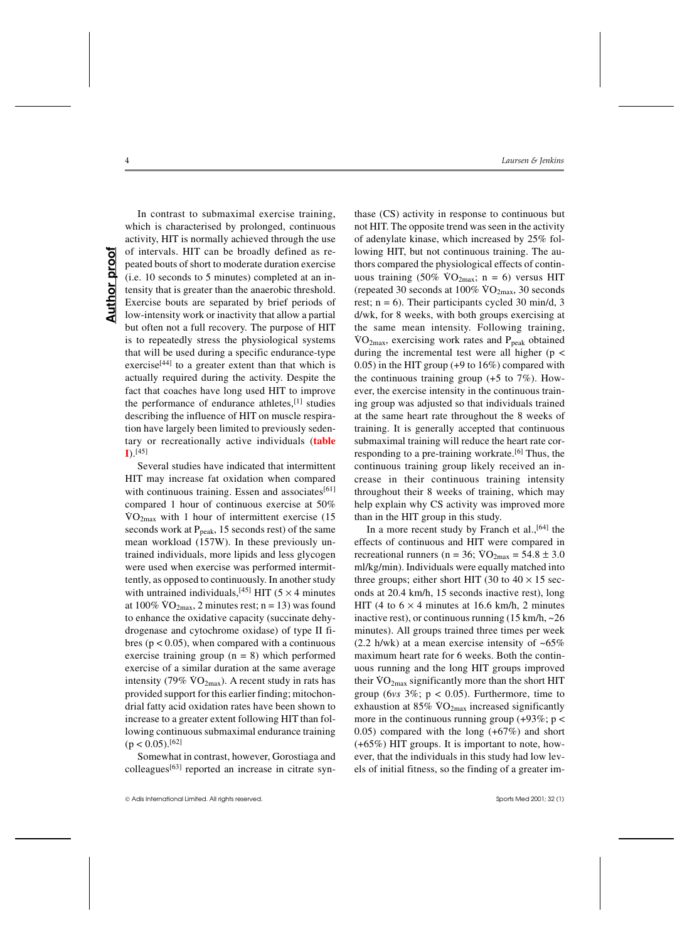**Author proof Author proof** 

In contrast to submaximal exercise training, which is characterised by prolonged, continuous activity, HIT is normally achieved through the use of intervals. HIT can be broadly defined as repeated bouts of short to moderate duration exercise (i.e. 10 seconds to 5 minutes) completed at an intensity that is greater than the anaerobic threshold. Exercise bouts are separated by brief periods of low-intensity work or inactivity that allow a partial but often not a full recovery. The purpose of HIT is to repeatedly stress the physiological systems that will be used during a specific endurance-type exercise<sup>[44]</sup> to a greater extent than that which is actually required during the activity. Despite the fact that coaches have long used HIT to improve the performance of endurance athletes, $[1]$  studies describing the influence of HIT on muscle respiration have largely been limited to previously sedentary or recreationally active individuals (**table I**).[45]

Several studies have indicated that intermittent HIT may increase fat oxidation when compared with continuous training. Essen and associates<sup>[61]</sup> compared 1 hour of continuous exercise at 50%  $\sqrt{VQ_{2max}}$  with 1 hour of intermittent exercise (15 seconds work at  $P_{\text{peak}}$ , 15 seconds rest) of the same mean workload (157W). In these previously untrained individuals, more lipids and less glycogen were used when exercise was performed intermittently, as opposed to continuously. In another study with untrained individuals,  $[45]$  HIT (5 × 4 minutes at  $100\%$   $\text{VO}_{2\text{max}}$ , 2 minutes rest; n = 13) was found to enhance the oxidative capacity (succinate dehydrogenase and cytochrome oxidase) of type II fibres ( $p < 0.05$ ), when compared with a continuous exercise training group  $(n = 8)$  which performed exercise of a similar duration at the same average intensity  $(79\% \text{ VO}_{2\text{max}})$ . A recent study in rats has provided support for this earlier finding; mitochondrial fatty acid oxidation rates have been shown to increase to a greater extent following HIT than following continuous submaximal endurance training  $(p < 0.05)$ . [62]

Somewhat in contrast, however, Gorostiaga and colleagues[63] reported an increase in citrate syn-

thase (CS) activity in response to continuous but not HIT. The opposite trend was seen in the activity of adenylate kinase, which increased by 25% following HIT, but not continuous training. The authors compared the physiological effects of continuous training  $(50\% \text{ VO}_{2\text{max}}; n = 6)$  versus HIT (repeated 30 seconds at  $100\%$  VO<sub>2max</sub>, 30 seconds rest;  $n = 6$ ). Their participants cycled 30 min/d, 3 d/wk, for 8 weeks, with both groups exercising at the same mean intensity. Following training,  $VO<sub>2max</sub>$ , exercising work rates and  $P<sub>peak</sub>$  obtained during the incremental test were all higher ( $p <$ 0.05) in the HIT group (+9 to 16%) compared with the continuous training group (+5 to 7%). However, the exercise intensity in the continuous training group was adjusted so that individuals trained at the same heart rate throughout the 8 weeks of training. It is generally accepted that continuous submaximal training will reduce the heart rate corresponding to a pre-training workrate.<sup>[6]</sup> Thus, the continuous training group likely received an increase in their continuous training intensity throughout their 8 weeks of training, which may help explain why CS activity was improved more than in the HIT group in this study.

In a more recent study by Franch et al.,  $[64]$  the effects of continuous and HIT were compared in recreational runners ( $n = 36$ ;  $\text{VO}_{2\text{max}} = 54.8 \pm 3.0$ ml/kg/min). Individuals were equally matched into three groups; either short HIT (30 to  $40 \times 15$  seconds at 20.4 km/h, 15 seconds inactive rest), long HIT (4 to  $6 \times 4$  minutes at 16.6 km/h, 2 minutes inactive rest), or continuous running  $(15 \text{ km/h}, -26 \text{ m})$ minutes). All groups trained three times per week (2.2 h/wk) at a mean exercise intensity of  $~5\%$ maximum heart rate for 6 weeks. Both the continuous running and the long HIT groups improved their  $\sqrt{O_{2max}}$  significantly more than the short HIT group (6 $vs$  3%;  $p < 0.05$ ). Furthermore, time to exhaustion at  $85\%$  VO<sub>2max</sub> increased significantly more in the continuous running group  $(+93\%; p <$ 0.05) compared with the long (+67%) and short (+65%) HIT groups. It is important to note, however, that the individuals in this study had low levels of initial fitness, so the finding of a greater im-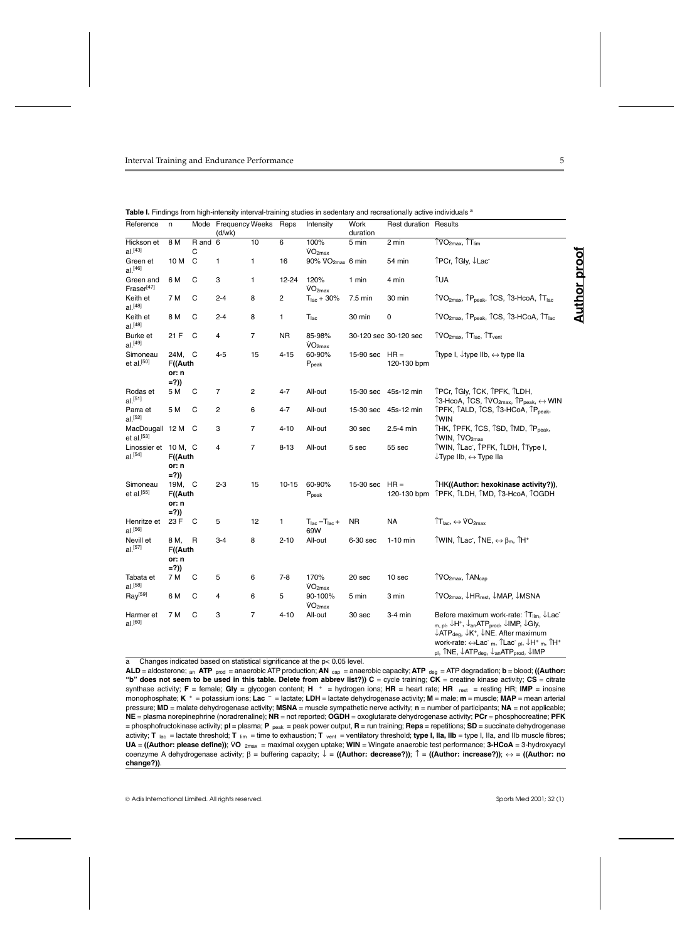| Reference                                 | n                                     |                           | Mode Frequency Weeks Reps<br>(d/wk) |                |           | Intensity                                  | Work<br>duration | <b>Rest duration Results</b> |                                                                                                                                                                                                                                                                                                                                                                                                                                                                                                                                                  |                     |
|-------------------------------------------|---------------------------------------|---------------------------|-------------------------------------|----------------|-----------|--------------------------------------------|------------------|------------------------------|--------------------------------------------------------------------------------------------------------------------------------------------------------------------------------------------------------------------------------------------------------------------------------------------------------------------------------------------------------------------------------------------------------------------------------------------------------------------------------------------------------------------------------------------------|---------------------|
| Hickson et<br>$al.$ [43]                  | 8 M                                   | $\overline{R}$ and 6<br>C |                                     | 10             | 6         | 100%<br>VO <sub>2max</sub>                 | 5 min            | 2 min                        | $\uparrow$ VO <sub>2max</sub> , $\uparrow$ T <sub>lim</sub>                                                                                                                                                                                                                                                                                                                                                                                                                                                                                      |                     |
| Green et<br>al. <sup>[46]</sup>           | 10 M                                  | C                         | 1                                   | 1              | 16        | $90\%$ VO <sub>2max</sub> 6 min            |                  | 54 min                       | ÎPCr, ÎGly, ↓Lac                                                                                                                                                                                                                                                                                                                                                                                                                                                                                                                                 | <u>Author proof</u> |
| Green and<br>Fraser <sup>[47]</sup>       | 6 M                                   | C                         | 3                                   | 1              | 12-24     | 120%<br>VO <sub>2max</sub>                 | 1 min            | 4 min                        | <b>TUA</b>                                                                                                                                                                                                                                                                                                                                                                                                                                                                                                                                       |                     |
| Keith et<br>$al.$ <sup>[48]</sup>         | 7 M                                   | C                         | $2 - 4$                             | 8              | 2         | $T_{\text{lac}} + 30\%$                    | 7.5 min          | 30 min                       | TVO <sub>2max</sub> , TP <sub>peak</sub> , TCS, T3-HcoA, TT <sub>lac</sub>                                                                                                                                                                                                                                                                                                                                                                                                                                                                       |                     |
| Keith et<br>$al.$ [48]                    | 8 M                                   | C                         | $2 - 4$                             | 8              | 1         | $T_{\text{lac}}$                           | 30 min           | 0                            | TVO <sub>2max</sub> , TP <sub>peak</sub> , TCS, T3-HCoA, TT <sub>lac</sub>                                                                                                                                                                                                                                                                                                                                                                                                                                                                       |                     |
| Burke et<br>$al.$ <sup>[49]</sup>         | 21 F                                  | C                         | 4                                   | 7              | <b>NR</b> | 85-98%<br>VO <sub>2max</sub>               |                  | 30-120 sec 30-120 sec        | TVO <sub>2max</sub> , T <sub>lac</sub> , T <sub>vent</sub>                                                                                                                                                                                                                                                                                                                                                                                                                                                                                       |                     |
| Simoneau<br>et al. $[50]$                 | 24M, C<br>F((Auth<br>or: n<br>$= ?$ ) |                           | $4 - 5$                             | 15             | 4-15      | 60-90%<br>$P_{\text{peak}}$                | 15-90 sec $HR =$ | 120-130 bpm                  | Ttype I, ↓type IIb, ↔ type IIa                                                                                                                                                                                                                                                                                                                                                                                                                                                                                                                   |                     |
| Rodas et<br>$al.$ [51]                    | 5 M                                   | С                         | $\overline{7}$                      | 2              | $4 - 7$   | All-out                                    | 15-30 sec        | 45s-12 min                   | TPCr, TGly, TCK, TPFK, TLDH,<br>$\uparrow$ 3-HcoA, $\uparrow$ CS, $\uparrow$ VO <sub>2max</sub> , $\uparrow$ P <sub>peak</sub> , $\leftrightarrow$ WIN                                                                                                                                                                                                                                                                                                                                                                                           |                     |
| Parra et<br>al. <sup>[52]</sup>           | 5 M                                   | C                         | $\overline{2}$                      | 6              | $4 - 7$   | All-out                                    |                  | 15-30 sec 45s-12 min         | TPFK, TALD, TCS, T3-HCoA, TP <sub>peak</sub> ,<br><b>TWIN</b>                                                                                                                                                                                                                                                                                                                                                                                                                                                                                    |                     |
| MacDougall 12 M<br>et al. <sup>[53]</sup> |                                       | C                         | 3                                   | 7              | $4 - 10$  | All-out                                    | 30 sec           | 2.5-4 min                    | THK, TPFK, TCS, TSD, TMD, TP <sub>peak</sub> ,<br>TWIN, TVO <sub>2max</sub>                                                                                                                                                                                                                                                                                                                                                                                                                                                                      |                     |
| Linossier et 10 M, C<br>$al.$ [54]        | F((Auth<br>or: n<br>$= ?$ )           |                           | 4                                   | 7              | $8 - 13$  | All-out                                    | 5 sec            | 55 sec                       | TWIN, TLac, TPFK, TLDH, TType I,<br>$\downarrow$ Type IIb, $\leftrightarrow$ Type IIa                                                                                                                                                                                                                                                                                                                                                                                                                                                            |                     |
| Simoneau<br>et al. <sup>[55]</sup>        | 19M, C<br>F((Auth<br>or: n<br>$= ?$ ) |                           | $2 - 3$                             | 15             | $10 - 15$ | 60-90%<br>$P_{\text{peak}}$                | 15-30 sec        | $HR =$                       | THK((Author: hexokinase activity?)),<br>120-130 bpm ^PFK, ^LDH, ^MD, ^3-HcoA, ^OGDH                                                                                                                                                                                                                                                                                                                                                                                                                                                              |                     |
| Henritze et<br>$al.$ [56]                 | 23 F                                  | C                         | 5                                   | 12             | 1         | $T_{\text{lac}} - T_{\text{lac}} +$<br>69W | <b>NR</b>        | <b>NA</b>                    | $\uparrow$ T <sub>lac</sub> , $\leftrightarrow$ VO <sub>2max</sub>                                                                                                                                                                                                                                                                                                                                                                                                                                                                               |                     |
| Nevill et<br>$al.$ [57]                   | 8 M,<br>F((Auth<br>or: n<br>$= ?$ )   | R                         | $3-4$                               | 8              | $2 - 10$  | All-out                                    | 6-30 sec         | 1-10 min                     | TWIN, TLac, TNE, $\leftrightarrow$ $\beta_m$ , TH <sup>+</sup>                                                                                                                                                                                                                                                                                                                                                                                                                                                                                   |                     |
| Tabata et<br>$al.$ [58]                   | 7 M                                   | C                         | 5                                   | 6              | $7-8$     | 170%<br>VO <sub>2max</sub>                 | 20 sec           | 10 sec                       | TVO <sub>2max</sub> , TAN <sub>cap</sub>                                                                                                                                                                                                                                                                                                                                                                                                                                                                                                         |                     |
| $\text{Ray}^{[59]}$                       | 6 M                                   | C                         | 4                                   | 6              | 5         | 90-100%<br>VO <sub>2max</sub>              | 5 min            | 3 min                        | TVO <sub>2max</sub> , ↓HR <sub>rest</sub> , ↓MAP, ↓MSNA                                                                                                                                                                                                                                                                                                                                                                                                                                                                                          |                     |
| Harmer et<br>$al.$ [60]                   | 7 M                                   | C                         | 3                                   | $\overline{7}$ | $4 - 10$  | All-out                                    | 30 sec           | 3-4 min                      | Before maximum work-rate: $T_{\text{lim}}$ , $\downarrow$ Lac<br>$_{\mathsf{m},\mathsf{pl}},\downarrow$ H <sup>+</sup> , $\downarrow$ <sub>an</sub> ATP <sub>prod</sub> , $\downarrow$ IMP, $\downarrow$ Gly,<br>$\downarrow$ ATP <sub>deg</sub> , $\downarrow$ K <sup>+</sup> , $\downarrow$ NE. After maximum<br>work-rate: $\leftrightarrow$ Lac m, $\hat{L}$ Lac pl, $\downarrow$ H <sup>+</sup> m, $\hat{L}$ H <sup>+</sup><br>pl, TNE, $\downarrow$ ATP <sub>deg</sub> , $\downarrow$ <sub>an</sub> ATP <sub>prod</sub> , $\downarrow$ IMP |                     |

Table I. Findings from high-intensity interval-training studies in sedentary and recreationally active individuals <sup>a</sup>

a Changes indicated based on statistical significance at the p< 0.05 level.

**ALD** = aldosterone; an **ATP** prod = anaerobic ATP production; **AN** cap = anaerobic capacity; **ATP** deg = ATP degradation; **b** = blood; **((Author:** "**b" does not seem to be used in this table. Delete from abbrev list?)) C** = cycle training; CK = creatine kinase activity; CS = citrate<br>synthase activity; F = female; Gl**y** = glycogen content; H <sup>+</sup> = hydrogen ions; HR monophosphate; **K** + = potassium ions; **Lac** – = lactate; **LDH** = lactate dehydrogenase activity; **M** = male; **m** = muscle; **MAP** = mean arterial pressure; **MD** = malate dehydrogenase activity; **MSNA** = muscle sympathetic nerve activity; **n** = number of participants; **NA** = not applicable; **NE** = plasma norepinephrine (noradrenaline); **NR** = not reported; **OGDH** = oxoglutarate dehydrogenase activity; **PCr** = phosphocreatine; **PFK** = phosphofructokinase activity; **pl** = plasma; **P** peak = peak power output, **R** = run training; **Reps** = repetitions; **SD** = succinate dehydrogenase activity; T <sub>lac</sub> = lactate threshold; T <sub>lim</sub> = time to exhaustion; T <sub>vent</sub> = ventilatory threshold; **type I, IIa, IIb** = type I, IIa, and IIb muscle fibres;<br>**UA = ((Author: please define))**; VO <sub>2max</sub> = maximal oxygen u coenzyme A dehydrogenase activity; β = buffering capacity; ↓ = **((Author: decrease?))**; ↑ = **((Author: increase?))**; ↔ = **((Author: no change?))**.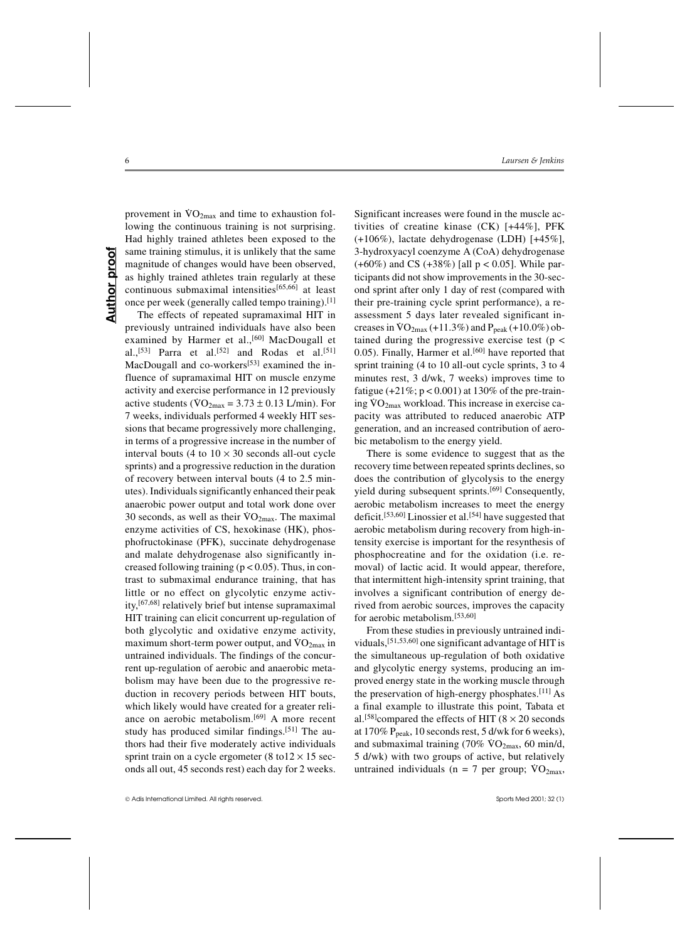**Author proof Author proof** 

provement in  $\rm{VO_{2max}}$  and time to exhaustion following the continuous training is not surprising. Had highly trained athletes been exposed to the same training stimulus, it is unlikely that the same magnitude of changes would have been observed, as highly trained athletes train regularly at these continuous submaximal intensities[65,66] at least once per week (generally called tempo training).[1]

The effects of repeated supramaximal HIT in previously untrained individuals have also been examined by Harmer et al.,<sup>[60]</sup> MacDougall et al.,[53] Parra et al.[52] and Rodas et al.[51] MacDougall and co-workers<sup>[53]</sup> examined the influence of supramaximal HIT on muscle enzyme activity and exercise performance in 12 previously active students ( $\overline{VO}_{2\text{max}} = 3.73 \pm 0.13$  L/min). For 7 weeks, individuals performed 4 weekly HIT sessions that became progressively more challenging, in terms of a progressive increase in the number of interval bouts (4 to  $10 \times 30$  seconds all-out cycle sprints) and a progressive reduction in the duration of recovery between interval bouts (4 to 2.5 minutes). Individuals significantly enhanced their peak anaerobic power output and total work done over 30 seconds, as well as their  $\overline{VO}_{2\text{max}}$ . The maximal enzyme activities of CS, hexokinase (HK), phosphofructokinase (PFK), succinate dehydrogenase and malate dehydrogenase also significantly increased following training  $(p < 0.05)$ . Thus, in contrast to submaximal endurance training, that has little or no effect on glycolytic enzyme activity,[67,68] relatively brief but intense supramaximal HIT training can elicit concurrent up-regulation of both glycolytic and oxidative enzyme activity,  $\mu$  and oxidative enzyme activity, maximum short-term power output, and  $\rm{VO}_{2max}$  in untrained individuals. The findings of the concurrent up-regulation of aerobic and anaerobic metabolism may have been due to the progressive reduction in recovery periods between HIT bouts, which likely would have created for a greater reliance on aerobic metabolism.[69] A more recent study has produced similar findings.[51] The authors had their five moderately active individuals sprint train on a cycle ergometer (8 to  $12 \times 15$  seconds all out, 45 seconds rest) each day for 2 weeks.

Significant increases were found in the muscle activities of creatine kinase (CK) [+44%], PFK (+106%), lactate dehydrogenase (LDH) [+45%], 3-hydroxyacyl coenzyme A (CoA) dehydrogenase  $(+60\%)$  and CS  $(+38\%)$  [all  $p < 0.05$ ]. While participants did not show improvements in the 30-second sprint after only 1 day of rest (compared with their pre-training cycle sprint performance), a reassessment 5 days later revealed significant indenotes a VO<sub>2max</sub> (+11.3%) and  $P_{peak}$  (+10.0%) obtained during the progressive exercise test ( $p <$ 0.05). Finally, Harmer et al.<sup>[60]</sup> have reported that sprint training (4 to 10 all-out cycle sprints, 3 to 4 minutes rest, 3 d/wk, 7 weeks) improves time to fatigue  $(+21\%; p < 0.001)$  at 130% of the pre-trainratigate  $(21.7, p \le 0.001)$  at 150% of the pre-train-<br>ing  $\text{VO}_{2\text{max}}$  workload. This increase in exercise capacity was attributed to reduced anaerobic ATP generation, and an increased contribution of aerobic metabolism to the energy yield.

There is some evidence to suggest that as the recovery time between repeated sprints declines, so does the contribution of glycolysis to the energy yield during subsequent sprints.[69] Consequently, aerobic metabolism increases to meet the energy deficit.<sup>[53,60]</sup> Linossier et al.<sup>[54]</sup> have suggested that aerobic metabolism during recovery from high-intensity exercise is important for the resynthesis of phosphocreatine and for the oxidation (i.e. removal) of lactic acid. It would appear, therefore, that intermittent high-intensity sprint training, that involves a significant contribution of energy derived from aerobic sources, improves the capacity for aerobic metabolism.[53,60]

From these studies in previously untrained individuals,[51,53,60] one significant advantage of HIT is the simultaneous up-regulation of both oxidative and glycolytic energy systems, producing an improved energy state in the working muscle through the preservation of high-energy phosphates.<sup>[11]</sup> As a final example to illustrate this point, Tabata et al.<sup>[58]</sup>compared the effects of HIT ( $8 \times 20$  seconds at 170%  $P_{peak}$ , 10 seconds rest, 5 d/wk for 6 weeks), and submaximal training  $(70\% \text{ VO}_{2\text{max}}, 60 \text{ min/d})$ 5 d/wk) with two groups of active, but relatively Let  $W_N$  with two groups of active, but relatively<br>untrained individuals ( $n = 7$  per group;  $\text{VO}_{2\text{max}}$ ,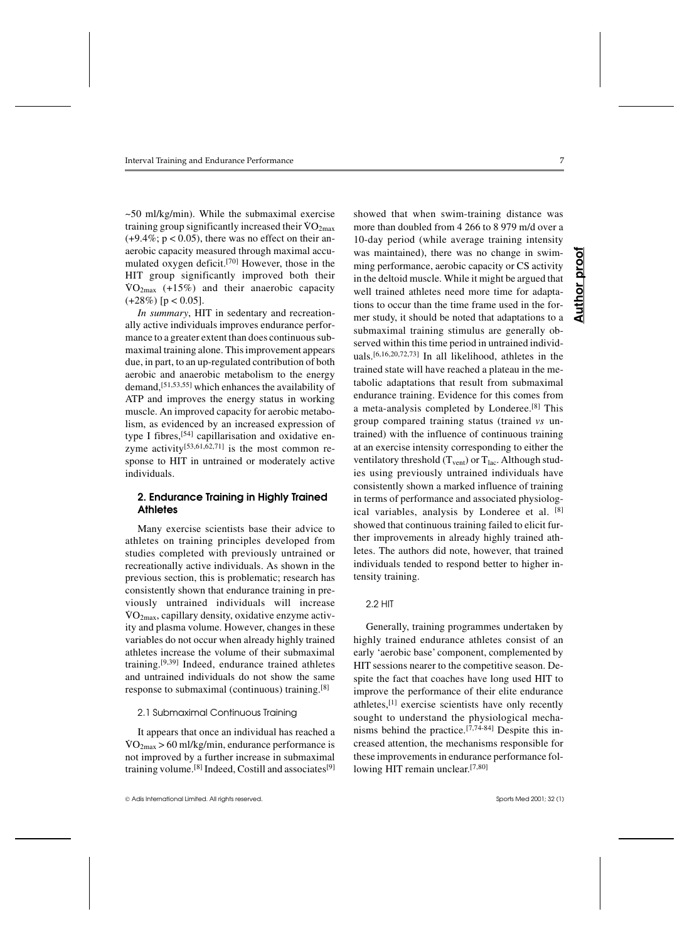~50 ml/kg/min). While the submaximal exercise  $\tau_{\text{20}}$  m/kg/mm). While the submaximal exercise training group significantly increased their  $\text{VO}_{2\text{max}}$  $(+9.4\%; p < 0.05)$ , there was no effect on their anaerobic capacity measured through maximal accumulated oxygen deficit.[70] However, those in the HIT group significantly improved both their  $\sqrt{VQ_{2max}}$  (+15%) and their anaerobic capacity  $(+28%)$  [p < 0.05].

*In summary*, HIT in sedentary and recreationally active individuals improves endurance performance to a greater extent than does continuous submaximal training alone. This improvement appears due, in part, to an up-regulated contribution of both aerobic and anaerobic metabolism to the energy demand,[51,53,55] which enhances the availability of ATP and improves the energy status in working muscle. An improved capacity for aerobic metabolism, as evidenced by an increased expression of type I fibres,[54] capillarisation and oxidative enzyme activity $[53,61,62,71]$  is the most common response to HIT in untrained or moderately active individuals.

# **2. Endurance Training in Highly Trained Athletes**

Many exercise scientists base their advice to athletes on training principles developed from studies completed with previously untrained or recreationally active individuals. As shown in the previous section, this is problematic; research has consistently shown that endurance training in previously untrained individuals will increase  $\sqrt{VQ_{2max}}$ , capillary density, oxidative enzyme activity and plasma volume. However, changes in these variables do not occur when already highly trained athletes increase the volume of their submaximal training.[9,39] Indeed, endurance trained athletes and untrained individuals do not show the same response to submaximal (continuous) training.[8]

#### 2.1 Submaximal Continuous Training

It appears that once an individual has reached a  $\rm \dot{V}O_{2max} > 60 \, \rm \dot{m} \dot{N} \dot{kg}$ /min, endurance performance is not improved by a further increase in submaximal training volume.<sup>[8]</sup> Indeed, Costill and associates<sup>[9]</sup>

Adis International Limited. All rights reserved. Sports Med 2001; 32 (1)

showed that when swim-training distance was more than doubled from 4 266 to 8 979 m/d over a 10-day period (while average training intensity was maintained), there was no change in swimming performance, aerobic capacity or CS activity in the deltoid muscle. While it might be argued that well trained athletes need more time for adaptations to occur than the time frame used in the former study, it should be noted that adaptations to a submaximal training stimulus are generally observed within this time period in untrained individuals.[6,16,20,72,73] In all likelihood, athletes in the trained state will have reached a plateau in the metabolic adaptations that result from submaximal endurance training. Evidence for this comes from a meta-analysis completed by Londeree.[8] This group compared training status (trained *vs* untrained) with the influence of continuous training at an exercise intensity corresponding to either the ventilatory threshold  $(T_{vent})$  or  $T_{lac}$ . Although studies using previously untrained individuals have consistently shown a marked influence of training in terms of performance and associated physiological variables, analysis by Londeree et al. [8] showed that continuous training failed to elicit further improvements in already highly trained athletes. The authors did note, however, that trained individuals tended to respond better to higher intensity training.

#### 2.2 HIT

Generally, training programmes undertaken by highly trained endurance athletes consist of an early 'aerobic base' component, complemented by HIT sessions nearer to the competitive season. Despite the fact that coaches have long used HIT to improve the performance of their elite endurance athletes,[1] exercise scientists have only recently sought to understand the physiological mechanisms behind the practice.<sup>[7,74-84]</sup> Despite this increased attention, the mechanisms responsible for these improvements in endurance performance following HIT remain unclear.<sup>[7,80]</sup>

**Author proof** proot Author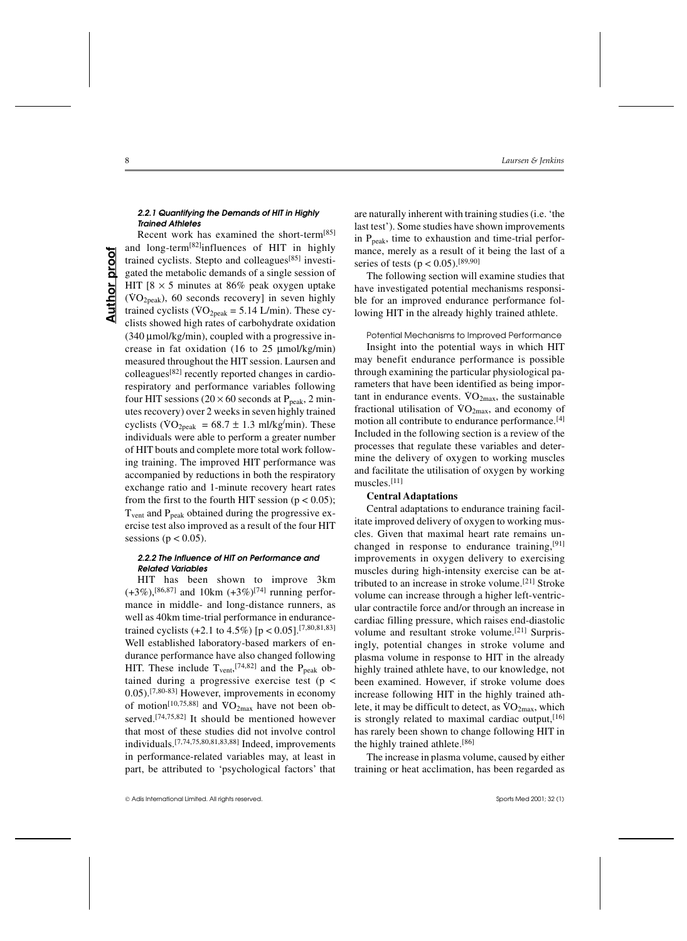## *2.2.1 Quantifying the Demands of HIT in Highly Trained Athletes*

Recent work has examined the short-term[85] and long-term[82]influences of HIT in highly trained cyclists. Stepto and colleagues[85] investigated the metabolic demands of a single session of HIT  $[8 \times 5$  minutes at 86% peak oxygen uptake  $(VO<sub>2peak</sub>)$ , 60 seconds recovery] in seven highly trained cyclists ( $\overline{VO_{2peak}} = 5.14$  L/min). These cyclists showed high rates of carbohydrate oxidation  $(340 \mu \text{mol/kg/min})$ , coupled with a progressive increase in fat oxidation (16 to 25 µmol/kg/min) measured throughout the HIT session. Laursen and colleagues[82] recently reported changes in cardiorespiratory and performance variables following four HIT sessions ( $20 \times 60$  seconds at P<sub>peak</sub>, 2 minutes recovery) over 2 weeks in seven highly trained cyclists ( $\rm{VO_{2peak}} = 68.7 \pm 1.3 \text{ mJ/kg/min}$ ). These individuals were able to perform a greater number of HIT bouts and complete more total work following training. The improved HIT performance was accompanied by reductions in both the respiratory exchange ratio and 1-minute recovery heart rates from the first to the fourth HIT session ( $p < 0.05$ );  $T<sub>vent</sub>$  and  $P<sub>peak</sub>$  obtained during the progressive exercise test also improved as a result of the four HIT sessions ( $p < 0.05$ ).

#### *2.2.2 The Influence of HIT on Performance and Related Variables*

HIT has been shown to improve 3km  $(+3\%)$ ,  $[86,87]$  and 10km  $(+3\%)$ <sup>[74]</sup> running performance in middle- and long-distance runners, as well as 40km time-trial performance in endurancetrained cyclists  $(+2.1 \text{ to } 4.5\%)$  [p < 0.05].<sup>[7,80,81,83]</sup> Well established laboratory-based markers of endurance performance have also changed following HIT. These include  $T_{\text{vent}}^{[74,82]}$  and the  $P_{\text{peak}}$  obtained during a progressive exercise test ( $p \le$ 0.05).[7,80-83] However, improvements in economy of motion<sup>[10,75,88]</sup> and  $\text{VO}_{2\text{max}}$  have not been observed.[74,75,82] It should be mentioned however that most of these studies did not involve control individuals.[7,74,75,80,81,83,88] Indeed, improvements in performance-related variables may, at least in part, be attributed to 'psychological factors' that are naturally inherent with training studies (i.e. 'the last test'). Some studies have shown improvements in  $P_{\text{peak}}$ , time to exhaustion and time-trial performance, merely as a result of it being the last of a series of tests ( $p < 0.05$ ).<sup>[89,90]</sup>

The following section will examine studies that have investigated potential mechanisms responsible for an improved endurance performance following HIT in the already highly trained athlete.

Potential Mechanisms to Improved Performance Insight into the potential ways in which HIT may benefit endurance performance is possible through examining the particular physiological parameters that have been identified as being important in endurance events.  $VO<sub>2max</sub>$ , the sustainable fractional utilisation of  $VO<sub>2max</sub>$ , and economy of motion all contribute to endurance performance.<sup>[4]</sup> Included in the following section is a review of the processes that regulate these variables and determine the delivery of oxygen to working muscles and facilitate the utilisation of oxygen by working muscles.[11]

# **Central Adaptations**

Central adaptations to endurance training facilitate improved delivery of oxygen to working muscles. Given that maximal heart rate remains unchanged in response to endurance training,<sup>[91]</sup> improvements in oxygen delivery to exercising muscles during high-intensity exercise can be attributed to an increase in stroke volume.[21] Stroke volume can increase through a higher left-ventricular contractile force and/or through an increase in cardiac filling pressure, which raises end-diastolic volume and resultant stroke volume.[21] Surprisingly, potential changes in stroke volume and plasma volume in response to HIT in the already highly trained athlete have, to our knowledge, not been examined. However, if stroke volume does increase following HIT in the highly trained athlete, it may be difficult to detect, as  $\rm{VO}_{2max}$ , which is strongly related to maximal cardiac output,  $[16]$ has rarely been shown to change following HIT in the highly trained athlete.[86]

The increase in plasma volume, caused by either training or heat acclimation, has been regarded as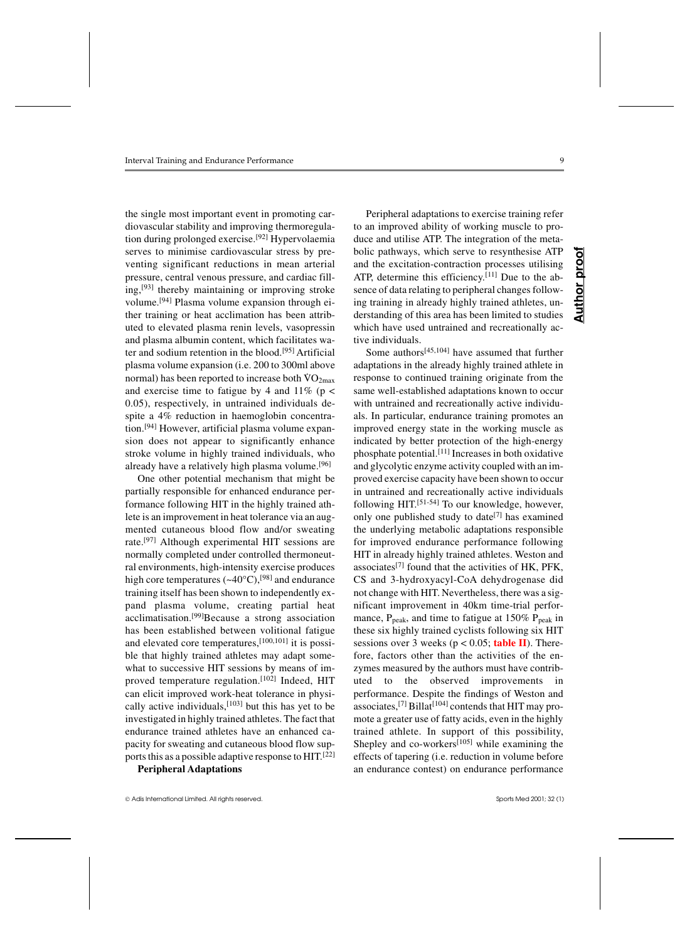the single most important event in promoting cardiovascular stability and improving thermoregulation during prolonged exercise.[92] Hypervolaemia serves to minimise cardiovascular stress by preventing significant reductions in mean arterial pressure, central venous pressure, and cardiac filling,[93] thereby maintaining or improving stroke volume.[94] Plasma volume expansion through either training or heat acclimation has been attributed to elevated plasma renin levels, vasopressin and plasma albumin content, which facilitates water and sodium retention in the blood.[95] Artificial plasma volume expansion (i.e. 200 to 300ml above plasma volume expansion (i.e. 200 to 300mm above<br>normal) has been reported to increase both  $\rm{VO}_{2max}$ and exercise time to fatigue by 4 and  $11\%$  (p < 0.05), respectively, in untrained individuals despite a 4% reduction in haemoglobin concentration.[94] However, artificial plasma volume expansion does not appear to significantly enhance stroke volume in highly trained individuals, who already have a relatively high plasma volume.<sup>[96]</sup>

One other potential mechanism that might be partially responsible for enhanced endurance performance following HIT in the highly trained athlete is an improvement in heat tolerance via an augmented cutaneous blood flow and/or sweating rate.[97] Although experimental HIT sessions are normally completed under controlled thermoneutral environments, high-intensity exercise produces high core temperatures  $({\sim}40^{\circ}C),$ <sup>[98]</sup> and endurance training itself has been shown to independently expand plasma volume, creating partial heat acclimatisation.[99]Because a strong association has been established between volitional fatigue and elevated core temperatures,[100,101] it is possible that highly trained athletes may adapt somewhat to successive HIT sessions by means of improved temperature regulation.[102] Indeed, HIT can elicit improved work-heat tolerance in physically active individuals,[103] but this has yet to be investigated in highly trained athletes. The fact that endurance trained athletes have an enhanced capacity for sweating and cutaneous blood flow supports this as a possible adaptive response to HIT.[22]

**Peripheral Adaptations**

Adis International Limited. All rights reserved. Sports Med 2001; 32 (1)

Peripheral adaptations to exercise training refer to an improved ability of working muscle to produce and utilise ATP. The integration of the metabolic pathways, which serve to resynthesise ATP and the excitation-contraction processes utilising ATP, determine this efficiency.<sup>[11]</sup> Due to the absence of data relating to peripheral changes following training in already highly trained athletes, understanding of this area has been limited to studies which have used untrained and recreationally active individuals.

Some authors[45,104] have assumed that further adaptations in the already highly trained athlete in response to continued training originate from the same well-established adaptations known to occur with untrained and recreationally active individuals. In particular, endurance training promotes an improved energy state in the working muscle as indicated by better protection of the high-energy phosphate potential.[11] Increases in both oxidative and glycolytic enzyme activity coupled with an improved exercise capacity have been shown to occur in untrained and recreationally active individuals following HIT.[51-54] To our knowledge, however, only one published study to date<sup>[7]</sup> has examined the underlying metabolic adaptations responsible for improved endurance performance following HIT in already highly trained athletes. Weston and associates<sup>[7]</sup> found that the activities of HK,  $PFK$ , CS and 3-hydroxyacyl-CoA dehydrogenase did not change with HIT. Nevertheless, there was a significant improvement in 40km time-trial performance,  $P_{peak}$ , and time to fatigue at 150%  $P_{peak}$  in these six highly trained cyclists following six HIT sessions over 3 weeks ( $p < 0.05$ ; **table II**). Therefore, factors other than the activities of the enzymes measured by the authors must have contributed to the observed improvements in performance. Despite the findings of Weston and associates,<sup>[7]</sup> Billat<sup>[104]</sup> contends that HIT may promote a greater use of fatty acids, even in the highly trained athlete. In support of this possibility, Shepley and co-workers<sup>[105]</sup> while examining the effects of tapering (i.e. reduction in volume before an endurance contest) on endurance performance

**Author proof**

Author

proo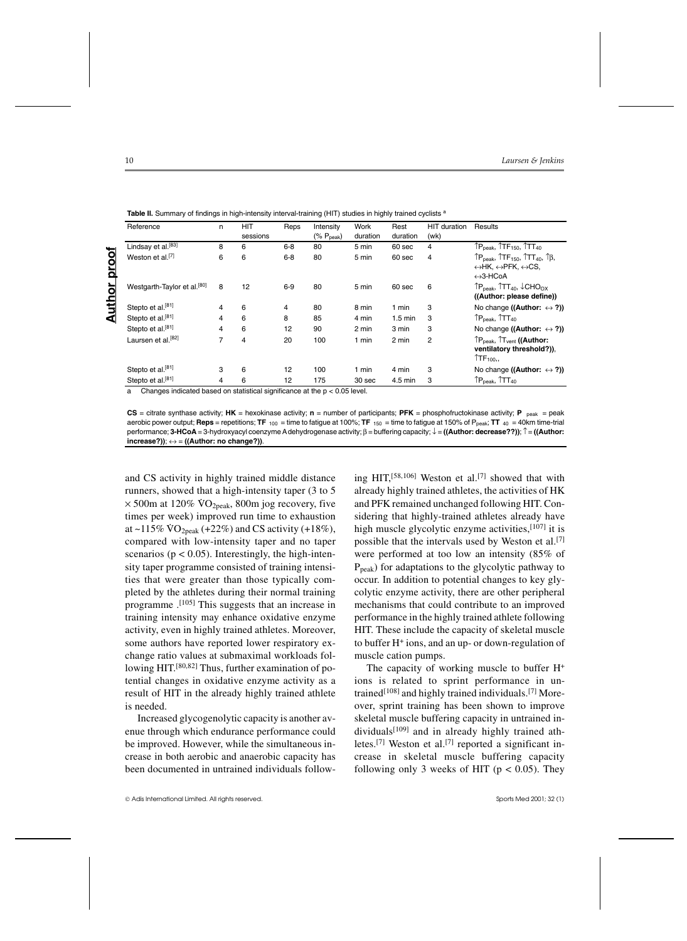|               | Reference                                                                                                                                                                                                                                                       | n | <b>HIT</b> | Reps    | Intensity                 | Work     | Rest              | <b>HIT</b> duration | Results                                                                                                                                                                                          |
|---------------|-----------------------------------------------------------------------------------------------------------------------------------------------------------------------------------------------------------------------------------------------------------------|---|------------|---------|---------------------------|----------|-------------------|---------------------|--------------------------------------------------------------------------------------------------------------------------------------------------------------------------------------------------|
|               |                                                                                                                                                                                                                                                                 |   | sessions   |         | $(\%$ P <sub>peak</sub> ) | duration | duration          | (wk)                |                                                                                                                                                                                                  |
|               | Lindsay et al. <sup>[83]</sup>                                                                                                                                                                                                                                  | 8 | 6          | $6 - 8$ | 80                        | 5 min    | 60 sec            | $\overline{4}$      | TP <sub>peak</sub> , TTF <sub>150</sub> , TTT <sub>40</sub>                                                                                                                                      |
| proof         | Weston et al. <sup>[7]</sup>                                                                                                                                                                                                                                    | 6 | 6          | $6 - 8$ | 80                        | 5 min    | 60 sec            | $\overline{4}$      | $\uparrow P_{\text{peak}}$ , $\uparrow T F_{150}$ , $\uparrow T T_{40}$ , $\uparrow \upbeta$ ,<br>$\leftrightarrow$ HK, $\leftrightarrow$ PFK, $\leftrightarrow$ CS,<br>$\leftrightarrow$ 3-HCoA |
| <b>Author</b> | Westgarth-Taylor et al. <sup>[80]</sup>                                                                                                                                                                                                                         | 8 | 12         | $6-9$   | 80                        | 5 min    | 60 sec            | 6                   | $\uparrow$ P <sub>deak</sub> , $\uparrow$ TT <sub>40</sub> , $\downarrow$ CHO <sub>OX</sub><br>((Author: please define))                                                                         |
|               | Stepto et al. <sup>[81]</sup>                                                                                                                                                                                                                                   | 4 | 6          | 4       | 80                        | 8 min    | 1 min             | 3                   | No change ((Author: $\leftrightarrow$ ?))                                                                                                                                                        |
|               | Stepto et al. <sup>[81]</sup>                                                                                                                                                                                                                                   | 4 | 6          | 8       | 85                        | 4 min    | $1.5 \text{ min}$ | 3                   | $\uparrow$ P <sub>peak</sub> , $\uparrow$ TT <sub>40</sub>                                                                                                                                       |
|               | Stepto et al. <sup>[81]</sup>                                                                                                                                                                                                                                   | 4 | 6          | 12      | 90                        | 2 min    | 3 min             | 3                   | No change ((Author: $\leftrightarrow$ ?))                                                                                                                                                        |
|               | Laursen et al. <sup>[82]</sup>                                                                                                                                                                                                                                  | 7 | 4          | 20      | 100                       | 1 min    | 2 min             | 2                   | ↑P <sub>peak</sub> , 1T <sub>vent</sub> ((Author:<br>ventilatory threshold?)),<br>$\uparrow$ TF <sub>100</sub> ,                                                                                 |
|               | Stepto et al. <sup>[81]</sup>                                                                                                                                                                                                                                   | 3 | 6          | 12      | 100                       | 1 min    | 4 min             | 3                   | No change ((Author: $\leftrightarrow$ ?))                                                                                                                                                        |
|               | Stepto et al. <sup>[81]</sup><br>A second the product of the contract of the state of the contract of the contract of the contract of the contract of the contract of the contract of the contract of the contract of the contract of the contract of the contr | 4 | 6          | 12      | 175                       | 30 sec   | 4.5 min           | 3                   | $\uparrow$ P <sub>peak</sub> , $\uparrow$ TT <sub>40</sub>                                                                                                                                       |

Table II. Summary of findings in high-intensity interval-training (HIT) studies in highly trained cyclists <sup>a</sup>

cated based on statistical significance at the  $p < 0.05$  level

**CS** = citrate synthase activity; **HK** = hexokinase activity; **n** = number of participants; **PFK** = phosphofructokinase activity; **P** peak = peak aerobic power output; **Reps** = repetitions; **TF** 100 = time to fatigue at 100%; **TF** 150 = time to fatigue at 150% of Ppeak; **TT** 40 = 40km time-trial performance; **3-HCoA** = 3-hydroxyacyl coenzyme A dehydrogenase activity; β = buffering capacity; ↓ = **((Author: decrease??))**; ↑ = **((Author: increase?))**; ↔ = **((Author: no change?))**.

and CS activity in highly trained middle distance runners, showed that a high-intensity taper (3 to 5  $\times$  500m at 120%  $\sqrt{O_{2}}$ <sub>peak</sub>, 800m jog recovery, five times per week) improved run time to exhaustion at ~115%  $VO<sub>2peak</sub>$  (+22%) and CS activity (+18%), compared with low-intensity taper and no taper scenarios ( $p < 0.05$ ). Interestingly, the high-intensity taper programme consisted of training intensities that were greater than those typically completed by the athletes during their normal training programme .[105] This suggests that an increase in training intensity may enhance oxidative enzyme activity, even in highly trained athletes. Moreover, some authors have reported lower respiratory exchange ratio values at submaximal workloads following HIT.[80,82] Thus, further examination of potential changes in oxidative enzyme activity as a result of HIT in the already highly trained athlete is needed.

Increased glycogenolytic capacity is another avenue through which endurance performance could be improved. However, while the simultaneous increase in both aerobic and anaerobic capacity has been documented in untrained individuals follow-

ing HIT,<sup>[58,106]</sup> Weston et al.<sup>[7]</sup> showed that with already highly trained athletes, the activities of HK and PFK remained unchanged following HIT. Considering that highly-trained athletes already have high muscle glycolytic enzyme activities, [107] it is possible that the intervals used by Weston et al.[7] were performed at too low an intensity (85% of  $P_{peak}$ ) for adaptations to the glycolytic pathway to occur. In addition to potential changes to key glycolytic enzyme activity, there are other peripheral mechanisms that could contribute to an improved performance in the highly trained athlete following HIT. These include the capacity of skeletal muscle to buffer H+ ions, and an up- or down-regulation of muscle cation pumps.

The capacity of working muscle to buffer H<sup>+</sup> ions is related to sprint performance in untrained<sup>[108]</sup> and highly trained individuals.<sup>[7]</sup> Moreover, sprint training has been shown to improve skeletal muscle buffering capacity in untrained individuals[109] and in already highly trained athletes.<sup>[7]</sup> Weston et al.<sup>[7]</sup> reported a significant increase in skeletal muscle buffering capacity following only 3 weeks of HIT ( $p < 0.05$ ). They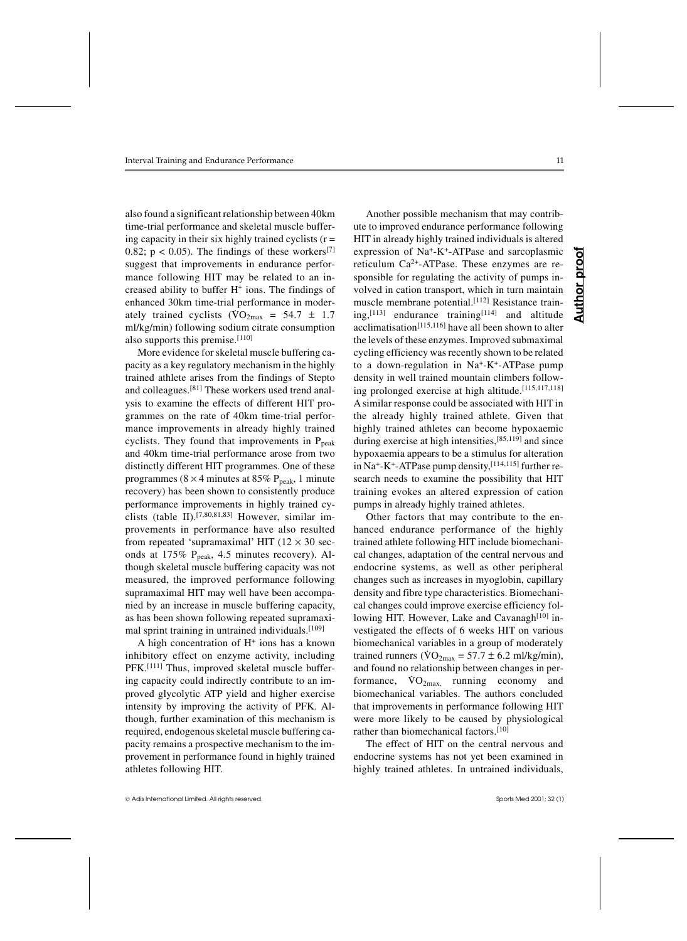also found a significant relationship between 40km time-trial performance and skeletal muscle buffering capacity in their six highly trained cyclists  $(r =$ 0.82;  $p < 0.05$ ). The findings of these workers<sup>[7]</sup> suggest that improvements in endurance performance following HIT may be related to an increased ability to buffer H+ ions. The findings of enhanced 30km time-trial performance in moderately trained cyclists  $(\text{VO}_{2\text{max}} = 54.7 \pm 1.7)$ ml/kg/min) following sodium citrate consumption also supports this premise.<sup>[110]</sup>

More evidence for skeletal muscle buffering capacity as a key regulatory mechanism in the highly trained athlete arises from the findings of Stepto and colleagues.[81] These workers used trend analysis to examine the effects of different HIT programmes on the rate of 40km time-trial performance improvements in already highly trained cyclists. They found that improvements in  $P_{peak}$ and 40km time-trial performance arose from two distinctly different HIT programmes. One of these programmes ( $8 \times 4$  minutes at 85% P<sub>peak</sub>, 1 minute recovery) has been shown to consistently produce performance improvements in highly trained cyclists (table II).[7,80,81,83] However, similar improvements in performance have also resulted from repeated 'supramaximal' HIT  $(12 \times 30 \text{ sec}$ onds at  $175\%$  P<sub>peak</sub>, 4.5 minutes recovery). Although skeletal muscle buffering capacity was not measured, the improved performance following supramaximal HIT may well have been accompanied by an increase in muscle buffering capacity, as has been shown following repeated supramaximal sprint training in untrained individuals.<sup>[109]</sup>

A high concentration of  $H<sup>+</sup>$  ions has a known inhibitory effect on enzyme activity, including PFK.<sup>[111]</sup> Thus, improved skeletal muscle buffering capacity could indirectly contribute to an improved glycolytic ATP yield and higher exercise intensity by improving the activity of PFK. Although, further examination of this mechanism is required, endogenous skeletal muscle buffering capacity remains a prospective mechanism to the improvement in performance found in highly trained athletes following HIT.

Another possible mechanism that may contribute to improved endurance performance following HIT in already highly trained individuals is altered expression of Na+-K+-ATPase and sarcoplasmic reticulum  $Ca^{2+}$ -ATPase. These enzymes are responsible for regulating the activity of pumps involved in cation transport, which in turn maintain muscle membrane potential.[112] Resistance training,<sup>[113]</sup> endurance training $[114]$  and altitude acclimatisation[115,116] have all been shown to alter the levels of these enzymes. Improved submaximal cycling efficiency was recently shown to be related to a down-regulation in Na+-K+-ATPase pump density in well trained mountain climbers following prolonged exercise at high altitude.[115,117,118] A similar response could be associated with HIT in the already highly trained athlete. Given that highly trained athletes can become hypoxaemic during exercise at high intensities,[85,119] and since hypoxaemia appears to be a stimulus for alteration in Na<sup>+</sup>-K<sup>+</sup>-ATPase pump density,<sup>[114,115]</sup> further research needs to examine the possibility that HIT training evokes an altered expression of cation pumps in already highly trained athletes.

Other factors that may contribute to the enhanced endurance performance of the highly trained athlete following HIT include biomechanical changes, adaptation of the central nervous and endocrine systems, as well as other peripheral changes such as increases in myoglobin, capillary density and fibre type characteristics. Biomechanical changes could improve exercise efficiency following HIT. However, Lake and Cavanagh $[10]$  investigated the effects of 6 weeks HIT on various biomechanical variables in a group of moderately trained runners ( $\sqrt{VQ_{2max}} = 57.7 \pm 6.2$  ml/kg/min), and found no relationship between changes in performance,  $\text{VO}_{2\text{max}}$ , running economy and biomechanical variables. The authors concluded that improvements in performance following HIT were more likely to be caused by physiological rather than biomechanical factors.[10]

The effect of HIT on the central nervous and endocrine systems has not yet been examined in highly trained athletes. In untrained individuals,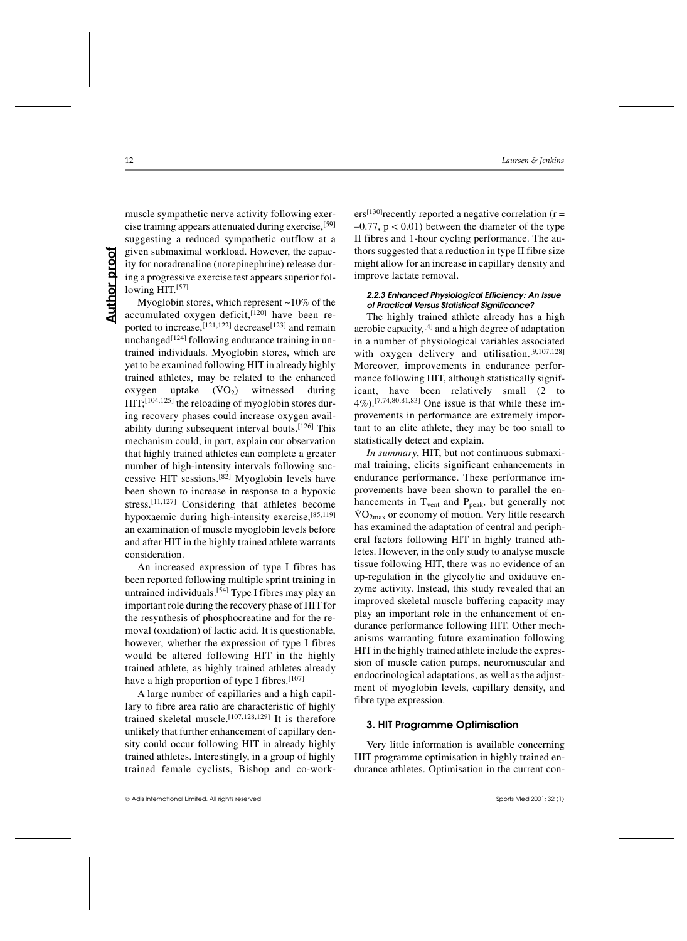muscle sympathetic nerve activity following exercise training appears attenuated during exercise,[59] suggesting a reduced sympathetic outflow at a given submaximal workload. However, the capacity for noradrenaline (norepinephrine) release during a progressive exercise test appears superior following HIT.[57]

Myoglobin stores, which represent ~10% of the accumulated oxygen deficit, [120] have been reported to increase,<sup>[121,122]</sup> decrease<sup>[123]</sup> and remain unchanged $[124]$  following endurance training in untrained individuals. Myoglobin stores, which are yet to be examined following HIT in already highly trained athletes, may be related to the enhanced  $\alpha$  and  $\alpha$  and  $\alpha$ ,  $\alpha$  is  $\alpha$  is  $\alpha$  is  $\alpha$  is  $\alpha$  is  $\alpha$  is  $\alpha$  is  $\alpha$  is  $\alpha$  is  $\alpha$  is  $\alpha$  is  $\alpha$  is  $\alpha$  is  $\alpha$  is  $\alpha$  is  $\alpha$  is  $\alpha$  is  $\alpha$  is  $\alpha$  is  $\alpha$  is  $\alpha$  is  $\alpha$  is  $\alpha$  is  $\alpha$  is  $\alpha$  HIT;[104,125] the reloading of myoglobin stores during recovery phases could increase oxygen availability during subsequent interval bouts.[126] This mechanism could, in part, explain our observation that highly trained athletes can complete a greater number of high-intensity intervals following successive HIT sessions.[82] Myoglobin levels have been shown to increase in response to a hypoxic stress.[11,127] Considering that athletes become hypoxaemic during high-intensity exercise,<sup>[85,119]</sup> an examination of muscle myoglobin levels before and after HIT in the highly trained athlete warrants consideration.

An increased expression of type I fibres has been reported following multiple sprint training in untrained individuals.[54] Type I fibres may play an important role during the recovery phase of HIT for the resynthesis of phosphocreatine and for the removal (oxidation) of lactic acid. It is questionable, however, whether the expression of type I fibres would be altered following HIT in the highly trained athlete, as highly trained athletes already have a high proportion of type I fibres.<sup>[107]</sup>

A large number of capillaries and a high capillary to fibre area ratio are characteristic of highly trained skeletal muscle.[107,128,129] It is therefore unlikely that further enhancement of capillary density could occur following HIT in already highly trained athletes. Interestingly, in a group of highly trained female cyclists, Bishop and co-work $ers^{[130]}$ recently reported a negative correlation (r =  $-0.77$ ,  $p < 0.01$ ) between the diameter of the type II fibres and 1-hour cycling performance. The authors suggested that a reduction in type II fibre size might allow for an increase in capillary density and improve lactate removal.

# *2.2.3 Enhanced Physiological Efficiency: An Issue of Practical Versus Statistical Significance?*

The highly trained athlete already has a high aerobic capacity,[4] and a high degree of adaptation in a number of physiological variables associated with oxygen delivery and utilisation.[9,107,128] Moreover, improvements in endurance performance following HIT, although statistically significant, have been relatively small (2 to 4%).[7,74,80,81,83] One issue is that while these improvements in performance are extremely important to an elite athlete, they may be too small to statistically detect and explain.

*In summary*, HIT, but not continuous submaximal training, elicits significant enhancements in endurance performance. These performance improvements have been shown to parallel the enhancements in  $T_{\text{vent}}$  and  $P_{\text{peak}}$ , but generally not  $\text{VO}_{2\text{max}}$  or economy of motion. Very little research has examined the adaptation of central and peripheral factors following HIT in highly trained athletes. However, in the only study to analyse muscle tissue following HIT, there was no evidence of an up-regulation in the glycolytic and oxidative enzyme activity. Instead, this study revealed that an improved skeletal muscle buffering capacity may play an important role in the enhancement of endurance performance following HIT. Other mechanisms warranting future examination following HIT in the highly trained athlete include the expression of muscle cation pumps, neuromuscular and endocrinological adaptations, as well as the adjustment of myoglobin levels, capillary density, and fibre type expression.

# **3. HIT Programme Optimisation**

Very little information is available concerning HIT programme optimisation in highly trained endurance athletes. Optimisation in the current con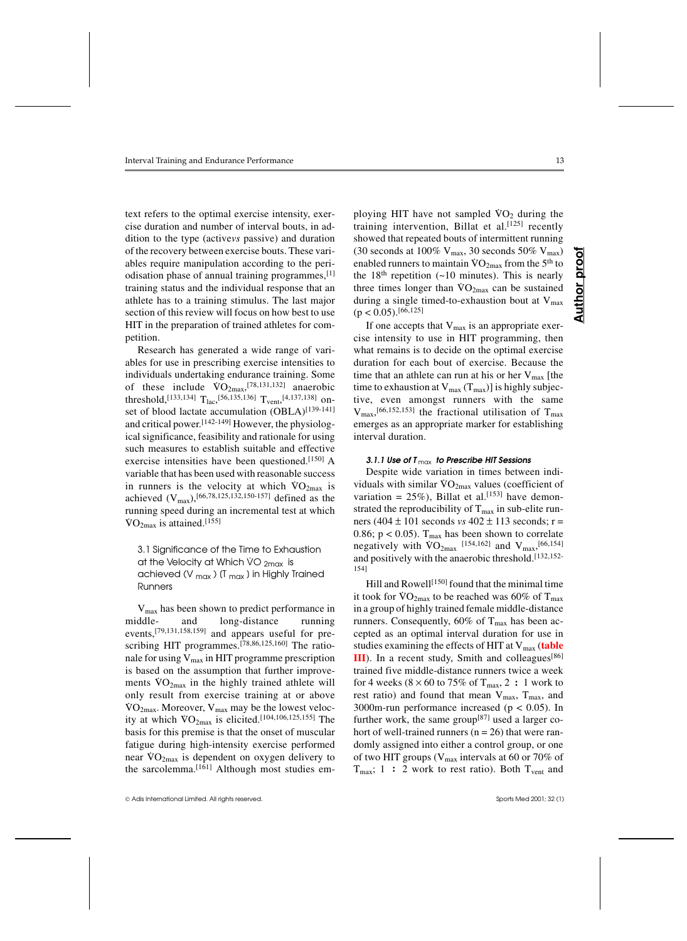text refers to the optimal exercise intensity, exercise duration and number of interval bouts, in addition to the type (active*vs* passive) and duration of the recovery between exercise bouts. These variables require manipulation according to the periodisation phase of annual training programmes,[1] training status and the individual response that an athlete has to a training stimulus. The last major section of this review will focus on how best to use HIT in the preparation of trained athletes for competition.

Research has generated a wide range of variables for use in prescribing exercise intensities to individuals undertaking endurance training. Some of these include  $\text{VO}_{2\text{max}}^{[78,131,132]}$  anaerobic threshold,  $^{[133,134]}$  T<sub>lac</sub>,  $^{[56,135,136]}$  T<sub>vent</sub>,  $^{[4,137,138]}$  onset of blood lactate accumulation (OBLA)<sup>[139-141]</sup> and critical power.[142-149] However, the physiological significance, feasibility and rationale for using such measures to establish suitable and effective exercise intensities have been questioned.[150] A variable that has been used with reasonable success variable that has been used while reasonable success in runners is the velocity at which  $\text{VO}_{2\text{max}}$  is achieved  $(V_{max})$ , [66,78,125,132,150-157] defined as the running speed during an incremental test at which  $\rm \dot{VO}_{2max}$  is attained.<sup>[155]</sup>

3.1 Significance of the Time to Exhaustion at the Velocity at Which  $VO_{2max}$  is achieved ( $V_{\text{max}}$ ) (T<sub>max</sub>) in Highly Trained Runners

Vmax has been shown to predict performance in middle- and long-distance running events,[79,131,158,159] and appears useful for prescribing HIT programmes.[78,86,125,160] The rationale for using  $V_{max}$  in HIT programme prescription is based on the assumption that further improvements  $\rm{VO_{2max}}$  in the highly trained athlete will only result from exercise training at or above<br>No. Measure M. consider the location of the  $\rm VO_{2max}$ . Moreover,  $\rm V_{max}$  may be the lowest velocv $O_{2max}$ . Moreover,  $V_{max}$  has may be the lowest velocity at which  $VO_{2max}$  is elicited.<sup>[104,106,125,155]</sup> The basis for this premise is that the onset of muscular fatigue during high-intensity exercise performed rangue during ingn-intensity exercise performed<br>near  $\rm{VO_{2max}}$  is dependent on oxygen delivery to the sarcolemma.<sup>[161]</sup> Although most studies em-

Adis International Limited. All rights reserved. Sports Med 2001; 32 (1)

ploying HIT have not sampled  $\rm\ddot{V}O_{2}$  during the training intervention, Billat et al.<sup>[125]</sup> recently showed that repeated bouts of intermittent running (30 seconds at 100%  $V_{max}$ , 30 seconds 50%  $V_{max}$ ) enabled runners to maintain  $\overline{VO}_{2max}$  from the 5<sup>th</sup> to the  $18<sup>th</sup>$  repetition (~10 minutes). This is nearly three times longer than  $VO_{2max}$  can be sustained during a single timed-to-exhaustion bout at  $V_{max}$  $(p < 0.05).^{[66,125]}$ 

If one accepts that  $V_{\text{max}}$  is an appropriate exercise intensity to use in HIT programming, then what remains is to decide on the optimal exercise duration for each bout of exercise. Because the time that an athlete can run at his or her  $V_{\text{max}}$  [the time to exhaustion at  $V_{max}(T_{max})$ ] is highly subjective, even amongst runners with the same  $V_{\text{max}}$ , [66,152,153] the fractional utilisation of T<sub>max</sub> emerges as an appropriate marker for establishing interval duration.

#### *3.1.1 Use of T* max *to Prescribe HIT Sessions*

Despite wide variation in times between indi-Despite with similar  $\rm{VO}_{2max}$  values (coefficient of variation =  $25\%$ ), Billat et al.<sup>[153]</sup> have demonstrated the reproducibility of  $T_{max}$  in sub-elite runners (404 ± 101 seconds *vs* 402 ± 113 seconds; r = 0.86;  $p < 0.05$ ). T<sub>max</sub> has been shown to correlate  $\mu$ ,  $\mu$ ,  $\sigma$ ,  $D$ ,  $I_{\text{max}}$  has been shown to correlate negatively with  $\sqrt{O_{2\text{max}}}$  [154,162] and  $V_{\text{max}}$ , [66,154] and positively with the anaerobic threshold.<sup>[132,152-</sup> 154]

Hill and Rowell<sup>[150]</sup> found that the minimal time it took for  $VO_{2max}$  to be reached was 60% of  $T_{max}$ in a group of highly trained female middle-distance runners. Consequently, 60% of  $T_{\text{max}}$  has been accepted as an optimal interval duration for use in studies examining the effects of HIT at V<sub>max</sub> (table **III**). In a recent study, Smith and colleagues<sup>[86]</sup> trained five middle-distance runners twice a week for 4 weeks  $(8 \times 60 \text{ to } 75\% \text{ of } T_{\text{max}}, 2 : 1 \text{ work to }$ rest ratio) and found that mean  $V_{max}$ ,  $T_{max}$ , and 3000m-run performance increased (p < 0.05). In further work, the same group $[87]$  used a larger cohort of well-trained runners ( $n = 26$ ) that were randomly assigned into either a control group, or one of two HIT groups ( $V_{\text{max}}$  intervals at 60 or 70% of  $T_{\text{max}}$ ; 1 : 2 work to rest ratio). Both  $T_{\text{vent}}$  and

**Author proof**

**Author** 

proo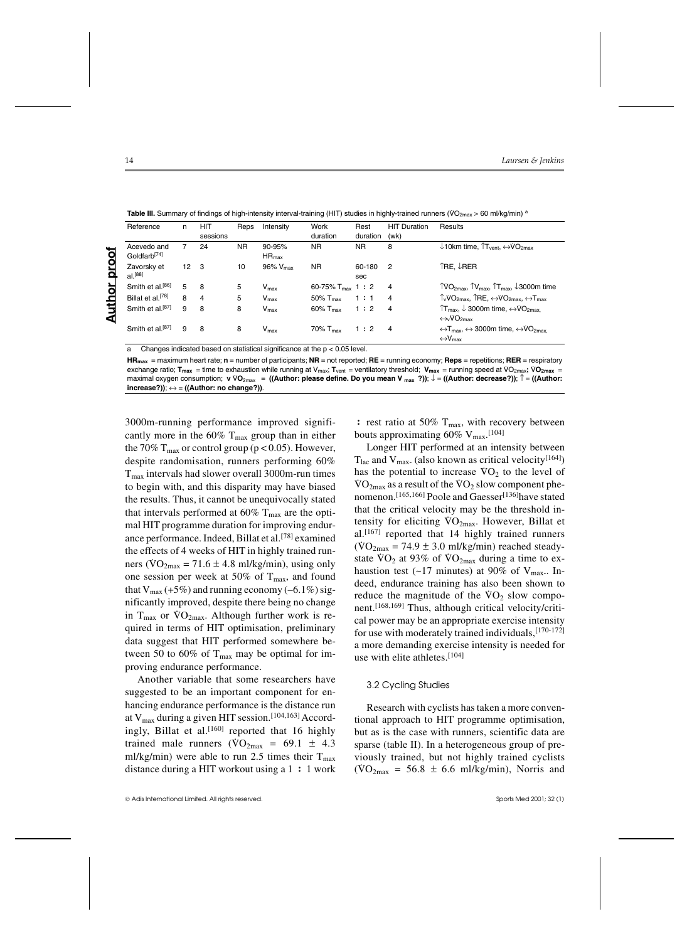| Table III. Summary of findings of high-intensity interval-training (HIT) studies in highly-trained runners (VO <sub>2max</sub> > 60 ml/kg/min) <sup>a</sup> |  |  |
|-------------------------------------------------------------------------------------------------------------------------------------------------------------|--|--|
|                                                                                                                                                             |  |  |

|               | Reference                               | n            | <b>HIT</b><br>sessions | Reps      | Intensity                | Work<br>duration        | Rest<br>duration | <b>HIT Duration</b><br>(wk) | Results                                                                                                                                       |
|---------------|-----------------------------------------|--------------|------------------------|-----------|--------------------------|-------------------------|------------------|-----------------------------|-----------------------------------------------------------------------------------------------------------------------------------------------|
|               | Acevedo and<br>Goldfarb <sup>[74]</sup> |              | 24                     | <b>NR</b> | $90 - 95%$<br>$HR_{max}$ | <b>NR</b>               | <b>NR</b>        | 8                           | $\downarrow$ 10km time, $\uparrow$ T <sub>vent</sub> , $\leftrightarrow$ VO <sub>2max</sub>                                                   |
| proof         | Zavorsky et<br>$al.$ <sup>[88]</sup>    | $12 \quad 3$ |                        | 10        | $96\%$ $V_{max}$         | NR.                     | 60-180<br>sec    | 2                           | ÎRE. ↓RER                                                                                                                                     |
|               | Smith et al. <sup>[86]</sup>            | 5            | - 8                    | 5         | $V_{\text{max}}$         | 60-75% $T_{max}$ 1 : 2  |                  | $\overline{4}$              | $\text{TVO}_{2\text{max}}$ , $\text{TV}_{\text{max}}$ , $\text{TT}_{\text{max}}$ , $\downarrow$ 3000m time                                    |
|               | Billat et al. <sup>[78]</sup>           | 8            | $\overline{4}$         | 5         | $V_{\text{max}}$         | 50% $T_{\rm max}$       | 1:1              | $\overline{4}$              | $\uparrow$ VO <sub>2max</sub> , $\uparrow$ RE, $\leftrightarrow$ VO <sub>2max</sub> , $\leftrightarrow$ T <sub>max</sub>                      |
| <b>Author</b> | Smith et al. <sup>[87]</sup>            | 9            | 8                      | 8         | $V_{\text{max}}$         | $60\%$ T <sub>max</sub> | 1:2              | $\overline{4}$              | $T_{\text{max}}$ , $\downarrow$ 3000m time, $\leftrightarrow$ VO <sub>2max</sub><br>$\leftrightarrow$ <sub>v</sub> VO <sub>2max</sub>         |
|               | Smith et al. <sup>[87]</sup>            | 9            | -8                     | 8         | V <sub>max</sub>         | $70\%$ $T_{max}$        | 1:2              | $\overline{4}$              | $\leftrightarrow$ T <sub>max</sub> , $\leftrightarrow$ 3000m time, $\leftrightarrow$ VO <sub>2max</sub><br>$\leftrightarrow$ V <sub>max</sub> |

a Changes indicated based on statistical significance at the p < 0.05 level.

**HRmax** = maximum heart rate; **n** = number of participants; **NR** = not reported; **RE** = running economy; **Reps** = repetitions; **RER** = respiratory exchange ratio; **T**<sub>max</sub> = time to exhaustion while running at V<sub>max</sub>; **T**<sub>vent</sub> = ventilatory threshold; **V<sub>max</sub>** = running speed at VO<sub>2max</sub>; VO<sub>2max</sub> =  $\frac{1}{2}$ **Interact on Section, The Section of Consumption; v** VO<sub>2max</sub> = ((Author: please define. Do you mean V  $_{max}$  ?)); ↓ = ((Author: decrease?)); ↑ = ((Author: please or interact or interact or interact or interact or interact  $i$ ncrease?));  $\leftrightarrow$  = ((Author: no change?)).

3000m-running performance improved significantly more in the 60%  $T_{\text{max}}$  group than in either the 70%  $T_{\text{max}}$  or control group (p < 0.05). However, despite randomisation, runners performing 60%  $T<sub>max</sub>$  intervals had slower overall 3000m-run times to begin with, and this disparity may have biased the results. Thus, it cannot be unequivocally stated that intervals performed at  $60\%$  T<sub>max</sub> are the optimal HIT programme duration for improving endurance performance. Indeed, Billat et al.[78] examined the effects of 4 weeks of HIT in highly trained runners  $(\text{VO}_{2\text{max}} = 71.6 \pm 4.8 \text{ ml/kg/min})$ , using only one session per week at 50% of  $T_{\text{max}}$ , and found that  $V_{\text{max}}$  (+5%) and running economy (–6.1%) significantly improved, despite there being no change in  $T_{\text{max}}$  or  $\dot{V}O_{2\text{max}}$ . Although further work is required in terms of HIT optimisation, preliminary data suggest that HIT performed somewhere between 50 to 60% of  $T_{\text{max}}$  may be optimal for improving endurance performance.

Another variable that some researchers have suggested to be an important component for enhancing endurance performance is the distance run at  $V_{max}$  during a given HIT session.<sup>[104,163]</sup> Accordingly, Billat et al. $[160]$  reported that 16 highly trained male runners  $(\text{VO}_{2\text{max}} = 69.1 \pm 4.3)$ ml/kg/min) were able to run 2.5 times their  $T_{\text{max}}$ distance during a HIT workout using a 1 **:** 1 work **:** rest ratio at 50% T<sub>max</sub>, with recovery between bouts approximating 60%  $V_{\text{max}}$ . [104]

Longer HIT performed at an intensity between  $T<sub>lac</sub>$  and  $V<sub>max</sub>$  (also known as critical velocity<sup>[164]</sup>)  $\frac{1}{\text{has}}$  the potential to increase  $\text{VO}_2$  to the level of  $\text{VO}_{2\text{max}}$  as a result of the  $\text{VO}_2$  slow component phenomenon.<sup>[165,166]</sup> Poole and Gaesser<sup>[136]</sup>have stated that the critical velocity may be the threshold intensity for eliciting  $VO<sub>2max</sub>$ . However, Billat et al.[167] reported that 14 highly trained runners  $(VO<sub>2max</sub> = 74.9 \pm 3.0 \text{ mJ/kg/min})$  reached steadystate  $VO<sub>2</sub>$  at 93% of  $VO<sub>2</sub>$ <sub>max</sub> during a time to exhaustion test (~17 minutes) at 90% of  $V_{\text{max}}$ . Indeed, endurance training has also been shown to reduce the magnitude of the  $VO<sub>2</sub>$  slow component.[168,169] Thus, although critical velocity/critical power may be an appropriate exercise intensity for use with moderately trained individuals,[170-172] a more demanding exercise intensity is needed for use with elite athletes.[104]

#### 3.2 Cycling Studies

Research with cyclists has taken a more conventional approach to HIT programme optimisation, but as is the case with runners, scientific data are sparse (table II). In a heterogeneous group of previously trained, but not highly trained cyclists  $(VO_{2max} = 56.8 \pm 6.6 \text{ mJ/kg/min})$ , Norris and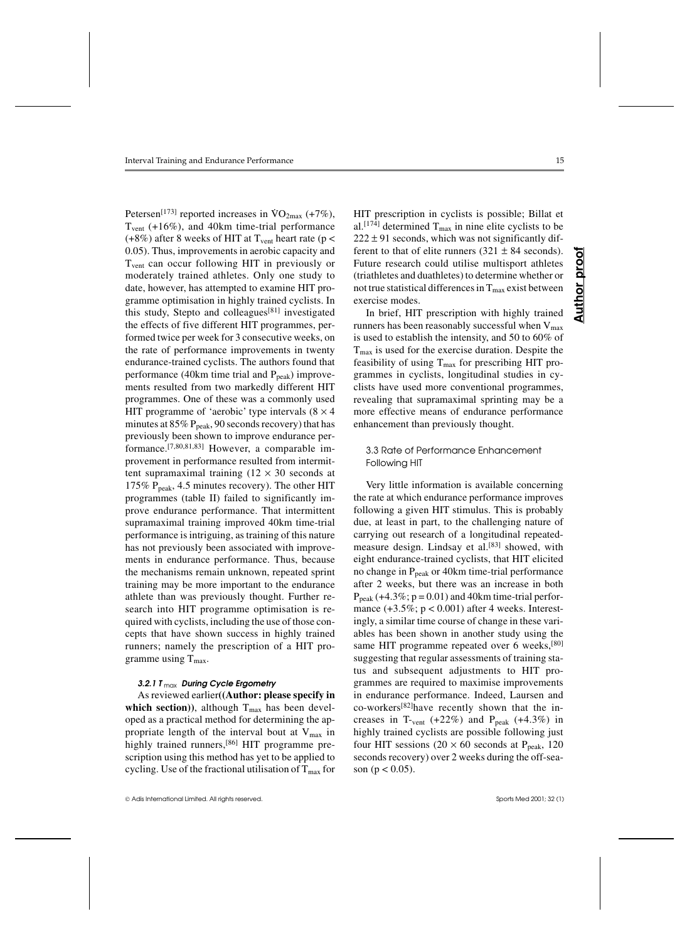Petersen<sup>[173]</sup> reported increases in  $\text{VO}_{2\text{max}}$  (+7%), Tvent (+16%), and 40km time-trial performance (+8%) after 8 weeks of HIT at  $T_{vent}$  heart rate (p < 0.05). Thus, improvements in aerobic capacity and Tvent can occur following HIT in previously or moderately trained athletes. Only one study to date, however, has attempted to examine HIT programme optimisation in highly trained cyclists. In this study, Stepto and colleagues<sup>[81]</sup> investigated the effects of five different HIT programmes, performed twice per week for 3 consecutive weeks, on the rate of performance improvements in twenty endurance-trained cyclists. The authors found that performance (40km time trial and  $P_{peak}$ ) improvements resulted from two markedly different HIT programmes. One of these was a commonly used HIT programme of 'aerobic' type intervals  $(8 \times 4)$ minutes at  $85\%$  P<sub>peak</sub>, 90 seconds recovery) that has previously been shown to improve endurance performance.[7,80,81,83] However, a comparable improvement in performance resulted from intermittent supramaximal training  $(12 \times 30$  seconds at 175%  $P_{peak}$ , 4.5 minutes recovery). The other HIT programmes (table II) failed to significantly improve endurance performance. That intermittent supramaximal training improved 40km time-trial performance is intriguing, as training of this nature has not previously been associated with improvements in endurance performance. Thus, because the mechanisms remain unknown, repeated sprint training may be more important to the endurance athlete than was previously thought. Further research into HIT programme optimisation is required with cyclists, including the use of those concepts that have shown success in highly trained runners; namely the prescription of a HIT programme using  $T_{max}$ .

# *3.2.1 T* max *During Cycle Ergometry*

As reviewed earlier**((Author: please specify in** which section)), although  $T_{\text{max}}$  has been developed as a practical method for determining the appropriate length of the interval bout at  $V_{\text{max}}$  in highly trained runners,<sup>[86]</sup> HIT programme prescription using this method has yet to be applied to cycling. Use of the fractional utilisation of  $T_{\text{max}}$  for

**Author proof**

Author

proo

HIT prescription in cyclists is possible; Billat et al.<sup>[174]</sup> determined  $T_{max}$  in nine elite cyclists to be  $222 \pm 91$  seconds, which was not significantly different to that of elite runners  $(321 \pm 84$  seconds). Future research could utilise multisport athletes (triathletes and duathletes) to determine whether or not true statistical differences in  $T_{\text{max}}$  exist between exercise modes.

In brief, HIT prescription with highly trained runners has been reasonably successful when  $V_{\text{max}}$ is used to establish the intensity, and 50 to 60% of  $T<sub>max</sub>$  is used for the exercise duration. Despite the feasibility of using  $T_{\text{max}}$  for prescribing HIT programmes in cyclists, longitudinal studies in cyclists have used more conventional programmes, revealing that supramaximal sprinting may be a more effective means of endurance performance enhancement than previously thought.

#### 3.3 Rate of Performance Enhancement Following HIT

Very little information is available concerning the rate at which endurance performance improves following a given HIT stimulus. This is probably due, at least in part, to the challenging nature of carrying out research of a longitudinal repeatedmeasure design. Lindsay et al.<sup>[83]</sup> showed, with eight endurance-trained cyclists, that HIT elicited no change in  $P_{peak}$  or 40km time-trial performance after 2 weeks, but there was an increase in both  $P_{\text{peak}} (+4.3\%; p = 0.01)$  and 40km time-trial performance  $(+3.5\%; p < 0.001)$  after 4 weeks. Interestingly, a similar time course of change in these variables has been shown in another study using the same HIT programme repeated over 6 weeks,<sup>[80]</sup> suggesting that regular assessments of training status and subsequent adjustments to HIT programmes are required to maximise improvements in endurance performance. Indeed, Laursen and co-workers[82]have recently shown that the increases in T-vent  $(+22%)$  and P<sub>peak</sub>  $(+4.3%)$  in highly trained cyclists are possible following just four HIT sessions (20  $\times$  60 seconds at P<sub>peak</sub>, 120 seconds recovery) over 2 weeks during the off-season ( $p < 0.05$ ).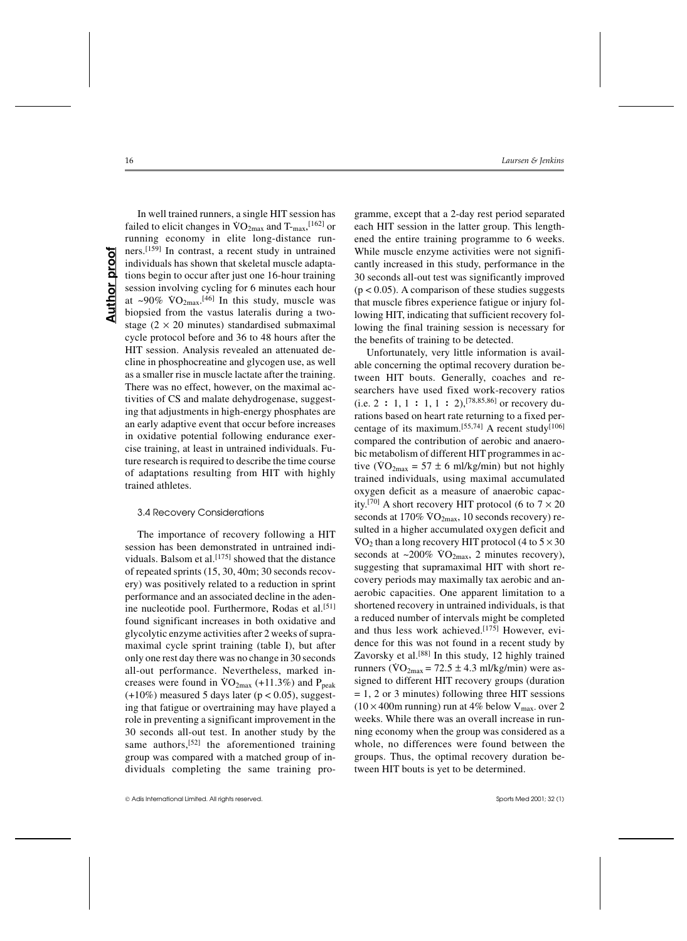In well trained runners, a single HIT session has failed to elicit changes in  $\rm{VO}_{2max}$  and  $\rm{T_{max}}$ ,  $\rm{^{[162]}}$  or running economy in elite long-distance runners.[159] In contrast, a recent study in untrained individuals has shown that skeletal muscle adaptations begin to occur after just one 16-hour training session involving cycling for 6 minutes each hour at  $\sim 90\%$  VO<sub>2max</sub>.<sup>[46]</sup> In this study, muscle was biopsied from the vastus lateralis during a twostage  $(2 \times 20 \text{ minutes})$  standardised submaximal cycle protocol before and 36 to 48 hours after the HIT session. Analysis revealed an attenuated decline in phosphocreatine and glycogen use, as well as a smaller rise in muscle lactate after the training. There was no effect, however, on the maximal activities of CS and malate dehydrogenase, suggesting that adjustments in high-energy phosphates are an early adaptive event that occur before increases in oxidative potential following endurance exercise training, at least in untrained individuals. Future research is required to describe the time course of adaptations resulting from HIT with highly trained athletes.

#### 3.4 Recovery Considerations

The importance of recovery following a HIT session has been demonstrated in untrained individuals. Balsom et al.<sup>[175]</sup> showed that the distance of repeated sprints (15, 30, 40m; 30 seconds recovery) was positively related to a reduction in sprint performance and an associated decline in the adenine nucleotide pool. Furthermore, Rodas et al.<sup>[51]</sup> found significant increases in both oxidative and glycolytic enzyme activities after 2 weeks of supramaximal cycle sprint training (table I), but after only one rest day there was no change in 30 seconds all-out performance. Nevertheless, marked increases were found in  $VO_{2max}$  (+11.3%) and  $P_{peak}$  $(+10\%)$  measured 5 days later ( $p < 0.05$ ), suggesting that fatigue or overtraining may have played a role in preventing a significant improvement in the 30 seconds all-out test. In another study by the same authors,<sup>[52]</sup> the aforementioned training group was compared with a matched group of individuals completing the same training pro-

gramme, except that a 2-day rest period separated each HIT session in the latter group. This lengthened the entire training programme to 6 weeks. While muscle enzyme activities were not significantly increased in this study, performance in the 30 seconds all-out test was significantly improved  $(p < 0.05)$ . A comparison of these studies suggests that muscle fibres experience fatigue or injury following HIT, indicating that sufficient recovery following the final training session is necessary for the benefits of training to be detected.

Unfortunately, very little information is available concerning the optimal recovery duration between HIT bouts. Generally, coaches and researchers have used fixed work-recovery ratios (i.e. 2 **:** 1, 1 **:** 1, 1 **:** 2),[78,85,86] or recovery durations based on heart rate returning to a fixed percentage of its maximum.<sup>[55,74]</sup> A recent study<sup>[106]</sup> compared the contribution of aerobic and anaerobic metabolism of different HIT programmes in active ( $\sqrt{VO_{2max}} = 57 \pm 6$  ml/kg/min) but not highly trained individuals, using maximal accumulated oxygen deficit as a measure of anaerobic capacity.<sup>[70]</sup> A short recovery HIT protocol (6 to  $7 \times 20$ seconds at 170%  $\overline{VO_{2\text{max}}}$ , 10 seconds recovery) resulted in a higher accumulated oxygen deficit and  $\text{VO}_2$  than a long recovery HIT protocol (4 to  $5 \times 30$ ) seconds at  $\sim$ 200%  $\sqrt{O_{2}}$ <sub>max</sub>, 2 minutes recovery), suggesting that supramaximal HIT with short recovery periods may maximally tax aerobic and anaerobic capacities. One apparent limitation to a shortened recovery in untrained individuals, is that a reduced number of intervals might be completed and thus less work achieved.[175] However, evidence for this was not found in a recent study by Zavorsky et al.<sup>[88]</sup> In this study, 12 highly trained runners ( $\overline{VO}_{2\text{max}} = 72.5 \pm 4.3 \text{ ml/kg/min}$ ) were assigned to different HIT recovery groups (duration  $= 1, 2$  or 3 minutes) following three HIT sessions  $(10 \times 400$ m running) run at 4% below V<sub>max-</sub> over 2 weeks. While there was an overall increase in running economy when the group was considered as a whole, no differences were found between the groups. Thus, the optimal recovery duration between HIT bouts is yet to be determined.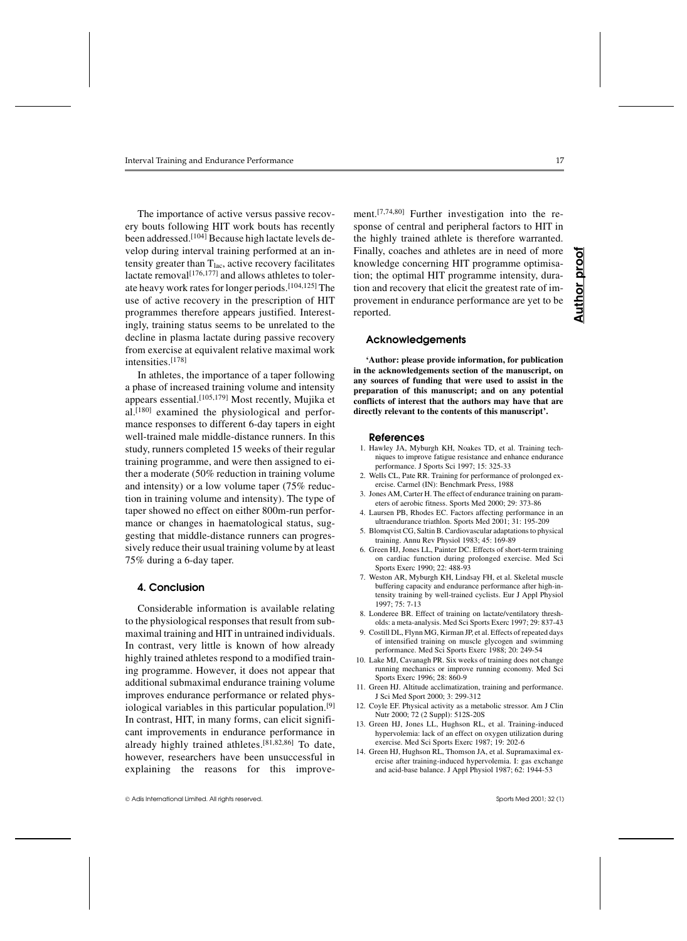The importance of active versus passive recovery bouts following HIT work bouts has recently been addressed.[104] Because high lactate levels develop during interval training performed at an intensity greater than  $T<sub>lac</sub>$ , active recovery facilitates lactate removal $\left[176,177\right]$  and allows athletes to tolerate heavy work rates for longer periods.[104,125] The use of active recovery in the prescription of HIT programmes therefore appears justified. Interestingly, training status seems to be unrelated to the decline in plasma lactate during passive recovery from exercise at equivalent relative maximal work intensities.[178]

In athletes, the importance of a taper following a phase of increased training volume and intensity appears essential.[105,179] Most recently, Mujika et al.[180] examined the physiological and performance responses to different 6-day tapers in eight well-trained male middle-distance runners. In this study, runners completed 15 weeks of their regular training programme, and were then assigned to either a moderate (50% reduction in training volume and intensity) or a low volume taper (75% reduction in training volume and intensity). The type of taper showed no effect on either 800m-run performance or changes in haematological status, suggesting that middle-distance runners can progressively reduce their usual training volume by at least 75% during a 6-day taper.

# **4. Conclusion**

Considerable information is available relating to the physiological responses that result from submaximal training and HIT in untrained individuals. In contrast, very little is known of how already highly trained athletes respond to a modified training programme. However, it does not appear that additional submaximal endurance training volume improves endurance performance or related physiological variables in this particular population.[9] In contrast, HIT, in many forms, can elicit significant improvements in endurance performance in already highly trained athletes.[81,82,86] To date, however, researchers have been unsuccessful in explaining the reasons for this improve-

Adis International Limited. All rights reserved. Sports Med 2001; 32 (1)

ment.[7,74,80] Further investigation into the response of central and peripheral factors to HIT in the highly trained athlete is therefore warranted. Finally, coaches and athletes are in need of more knowledge concerning HIT programme optimisation; the optimal HIT programme intensity, duration and recovery that elicit the greatest rate of improvement in endurance performance are yet to be reported.

# **Acknowledgements**

**'Author: please provide information, for publication in the acknowledgements section of the manuscript, on any sources of funding that were used to assist in the preparation of this manuscript; and on any potential conflicts of interest that the authors may have that are directly relevant to the contents of this manuscript'.**

#### **References**

- 1. Hawley JA, Myburgh KH, Noakes TD, et al. Training techniques to improve fatigue resistance and enhance endurance performance. J Sports Sci 1997; 15: 325-33
- 2. Wells CL, Pate RR. Training for performance of prolonged exercise. Carmel (IN): Benchmark Press, 1988
- 3. Jones AM, Carter H. The effect of endurance training on parameters of aerobic fitness. Sports Med 2000; 29: 373-86
- 4. Laursen PB, Rhodes EC. Factors affecting performance in an ultraendurance triathlon. Sports Med 2001; 31: 195-209
- 5. Blomqvist CG, Saltin B. Cardiovascular adaptations to physical training. Annu Rev Physiol 1983; 45: 169-89
- 6. Green HJ, Jones LL, Painter DC. Effects of short-term training on cardiac function during prolonged exercise. Med Sci Sports Exerc 1990; 22: 488-93
- 7. Weston AR, Myburgh KH, Lindsay FH, et al. Skeletal muscle buffering capacity and endurance performance after high-intensity training by well-trained cyclists. Eur J Appl Physiol 1997; 75: 7-13
- 8. Londeree BR. Effect of training on lactate/ventilatory thresholds: a meta-analysis. Med Sci Sports Exerc 1997; 29: 837-43
- 9. Costill DL, Flynn MG, Kirman JP, et al. Effects of repeated days of intensified training on muscle glycogen and swimming performance. Med Sci Sports Exerc 1988; 20: 249-54
- 10. Lake MJ, Cavanagh PR. Six weeks of training does not change running mechanics or improve running economy. Med Sci Sports Exerc 1996; 28: 860-9
- 11. Green HJ. Altitude acclimatization, training and performance. J Sci Med Sport 2000; 3: 299-312
- 12. Coyle EF. Physical activity as a metabolic stressor. Am J Clin Nutr 2000; 72 (2 Suppl): 512S-20S
- 13. Green HJ, Jones LL, Hughson RL, et al. Training-induced hypervolemia: lack of an effect on oxygen utilization during exercise. Med Sci Sports Exerc 1987; 19: 202-6
- 14. Green HJ, Hughson RL, Thomson JA, et al. Supramaximal exercise after training-induced hypervolemia. I: gas exchange and acid-base balance. J Appl Physiol 1987; 62: 1944-53

**Author proof**

Author

proo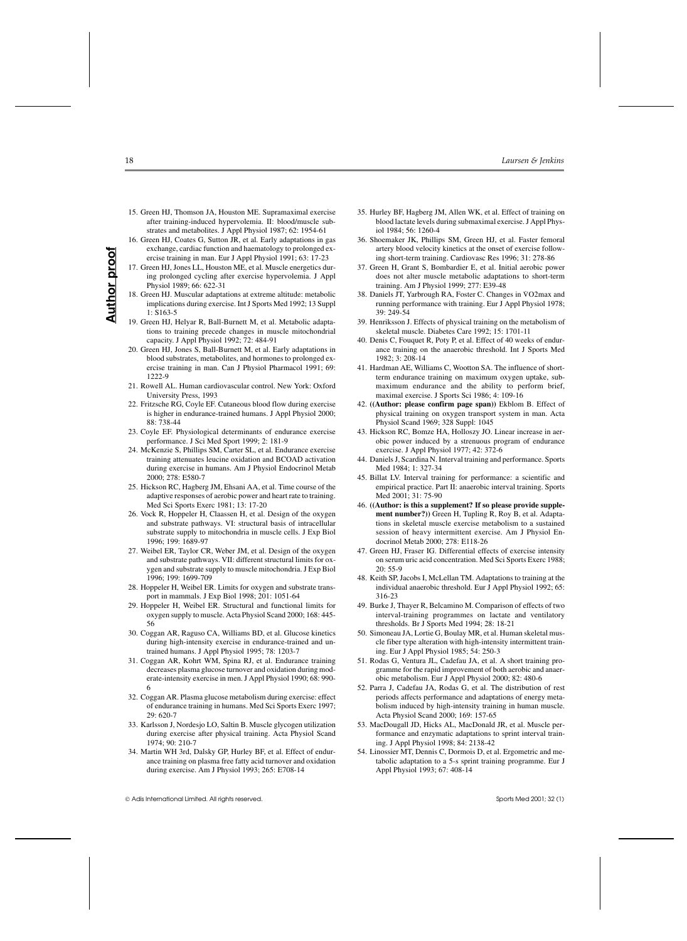- **Author proof Author proot**
- 15. Green HJ, Thomson JA, Houston ME. Supramaximal exercise after training-induced hypervolemia. II: blood/muscle substrates and metabolites. J Appl Physiol 1987; 62: 1954-61 16. Green HJ, Coates G, Sutton JR, et al. Early adaptations in gas
- exchange, cardiac function and haematology to prolonged exercise training in man. Eur J Appl Physiol 1991; 63: 17-23
- 17. Green HJ, Jones LL, Houston ME, et al. Muscle energetics during prolonged cycling after exercise hypervolemia. J Appl Physiol 1989; 66: 622-31
- 18. Green HJ. Muscular adaptations at extreme altitude: metabolic implications during exercise. Int J Sports Med 1992; 13 Suppl 1: S163-5
- 19. Green HJ, Helyar R, Ball-Burnett M, et al. Metabolic adaptations to training precede changes in muscle mitochondrial capacity. J Appl Physiol 1992; 72: 484-91
- 20. Green HJ, Jones S, Ball-Burnett M, et al. Early adaptations in blood substrates, metabolites, and hormones to prolonged exercise training in man. Can J Physiol Pharmacol 1991; 69: 1222-9
- 21. Rowell AL. Human cardiovascular control. New York: Oxford University Press, 1993
- 22. Fritzsche RG, Coyle EF. Cutaneous blood flow during exercise is higher in endurance-trained humans. J Appl Physiol 2000; 88: 738-44
- 23. Coyle EF. Physiological determinants of endurance exercise performance. J Sci Med Sport 1999; 2: 181-9
- 24. McKenzie S, Phillips SM, Carter SL, et al. Endurance exercise training attenuates leucine oxidation and BCOAD activation during exercise in humans. Am J Physiol Endocrinol Metab 2000; 278: E580-7
- 25. Hickson RC, Hagberg JM, Ehsani AA, et al. Time course of the adaptive responses of aerobic power and heart rate to training. Med Sci Sports Exerc 1981; 13: 17-20
- 26. Vock R, Hoppeler H, Claassen H, et al. Design of the oxygen and substrate pathways. VI: structural basis of intracellular substrate supply to mitochondria in muscle cells. J Exp Biol 1996; 199: 1689-97
- 27. Weibel ER, Taylor CR, Weber JM, et al. Design of the oxygen and substrate pathways. VII: different structural limits for oxygen and substrate supply to muscle mitochondria. J Exp Biol 1996; 199: 1699-709
- 28. Hoppeler H, Weibel ER. Limits for oxygen and substrate transport in mammals. J Exp Biol 1998; 201: 1051-64
- 29. Hoppeler H, Weibel ER. Structural and functional limits for oxygen supply to muscle. Acta Physiol Scand 2000; 168: 445- 56
- 30. Coggan AR, Raguso CA, Williams BD, et al. Glucose kinetics during high-intensity exercise in endurance-trained and untrained humans. J Appl Physiol 1995; 78: 1203-7
- 31. Coggan AR, Kohrt WM, Spina RJ, et al. Endurance training decreases plasma glucose turnover and oxidation during moderate-intensity exercise in men. J Appl Physiol 1990; 68: 990- 6
- 32. Coggan AR. Plasma glucose metabolism during exercise: effect of endurance training in humans. Med Sci Sports Exerc 1997; 29: 620-7
- 33. Karlsson J, Nordesjo LO, Saltin B. Muscle glycogen utilization during exercise after physical training. Acta Physiol Scand 1974; 90: 210-7
- 34. Martin WH 3rd, Dalsky GP, Hurley BF, et al. Effect of endurance training on plasma free fatty acid turnover and oxidation during exercise. Am J Physiol 1993; 265: E708-14

- 35. Hurley BF, Hagberg JM, Allen WK, et al. Effect of training on blood lactate levels during submaximal exercise. J Appl Physiol 1984; 56: 1260-4
- 36. Shoemaker JK, Phillips SM, Green HJ, et al. Faster femoral artery blood velocity kinetics at the onset of exercise following short-term training. Cardiovasc Res 1996; 31: 278-86
- 37. Green H, Grant S, Bombardier E, et al. Initial aerobic power does not alter muscle metabolic adaptations to short-term training. Am J Physiol 1999; 277: E39-48
- 38. Daniels JT, Yarbrough RA, Foster C. Changes in VO2max and running performance with training. Eur J Appl Physiol 1978; 39: 249-54
- 39. Henriksson J. Effects of physical training on the metabolism of skeletal muscle. Diabetes Care 1992; 15: 1701-11
- 40. Denis C, Fouquet R, Poty P, et al. Effect of 40 weeks of endurance training on the anaerobic threshold. Int J Sports Med 1982; 3: 208-14
- 41. Hardman AE, Williams C, Wootton SA. The influence of shortterm endurance training on maximum oxygen uptake, submaximum endurance and the ability to perform brief, maximal exercise. J Sports Sci 1986; 4: 109-16
- 42. **((Author: please confirm page span))** Ekblom B. Effect of physical training on oxygen transport system in man. Acta Physiol Scand 1969; 328 Suppl: 1045
- 43. Hickson RC, Bomze HA, Holloszy JO. Linear increase in aerobic power induced by a strenuous program of endurance exercise. J Appl Physiol 1977; 42: 372-6
- 44. Daniels J, Scardina N. Interval training and performance. Sports Med 1984; 1: 327-34
- 45. Billat LV. Interval training for performance: a scientific and empirical practice. Part II: anaerobic interval training. Sports Med 2001; 31: 75-90
- 46. **((Author: is this a supplement? If so please provide supplement number?))** Green H, Tupling R, Roy B, et al. Adaptations in skeletal muscle exercise metabolism to a sustained session of heavy intermittent exercise. Am J Physiol Endocrinol Metab 2000; 278: E118-26
- 47. Green HJ, Fraser IG. Differential effects of exercise intensity on serum uric acid concentration. Med Sci Sports Exerc 1988; 20: 55-9
- 48. Keith SP, Jacobs I, McLellan TM. Adaptations to training at the individual anaerobic threshold. Eur J Appl Physiol 1992; 65: 316-23
- 49. Burke J, Thayer R, Belcamino M. Comparison of effects of two interval-training programmes on lactate and ventilatory thresholds. Br J Sports Med 1994; 28: 18-21
- 50. Simoneau JA, Lortie G, Boulay MR, et al. Human skeletal muscle fiber type alteration with high-intensity intermittent training. Eur J Appl Physiol 1985; 54: 250-3
- 51. Rodas G, Ventura JL, Cadefau JA, et al. A short training programme for the rapid improvement of both aerobic and anaerobic metabolism. Eur J Appl Physiol 2000; 82: 480-6
- 52. Parra J, Cadefau JA, Rodas G, et al. The distribution of rest periods affects performance and adaptations of energy metabolism induced by high-intensity training in human muscle. Acta Physiol Scand 2000; 169: 157-65
- 53. MacDougall JD, Hicks AL, MacDonald JR, et al. Muscle performance and enzymatic adaptations to sprint interval training. J Appl Physiol 1998; 84: 2138-42
- 54. Linossier MT, Dennis C, Dormois D, et al. Ergometric and metabolic adaptation to a 5-s sprint training programme. Eur J Appl Physiol 1993; 67: 408-14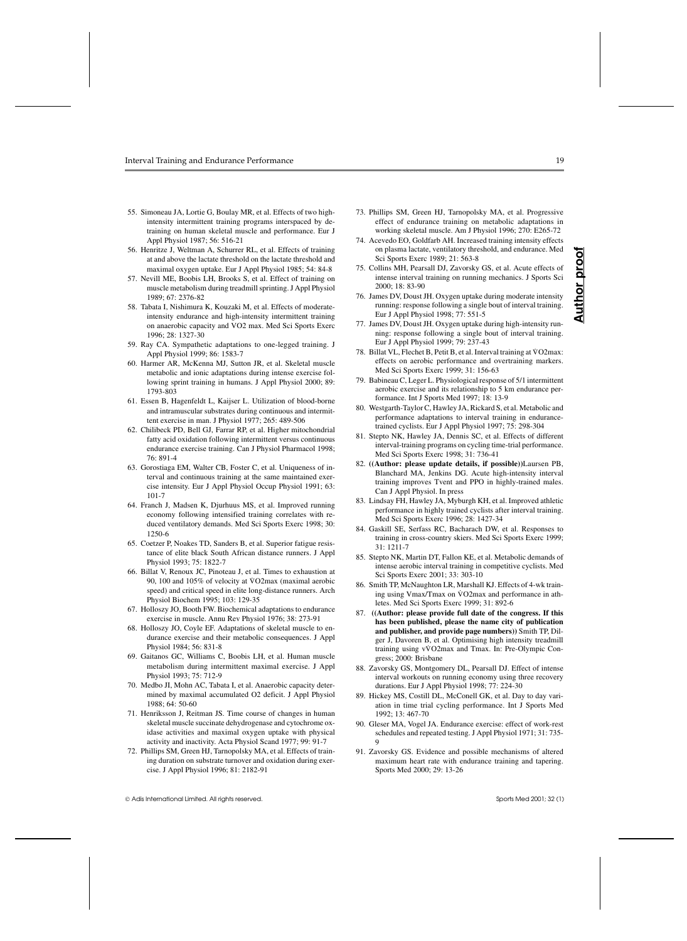- 55. Simoneau JA, Lortie G, Boulay MR, et al. Effects of two highintensity intermittent training programs interspaced by detraining on human skeletal muscle and performance. Eur J Appl Physiol 1987; 56: 516-21
- 56. Henritze J, Weltman A, Schurrer RL, et al. Effects of training at and above the lactate threshold on the lactate threshold and maximal oxygen uptake. Eur J Appl Physiol 1985; 54: 84-8
- 57. Nevill ME, Boobis LH, Brooks S, et al. Effect of training on muscle metabolism during treadmill sprinting. J Appl Physiol 1989; 67: 2376-82
- 58. Tabata I, Nishimura K, Kouzaki M, et al. Effects of moderateintensity endurance and high-intensity intermittent training on anaerobic capacity and VO2 max. Med Sci Sports Exerc 1996; 28: 1327-30
- 59. Ray CA. Sympathetic adaptations to one-legged training. J Appl Physiol 1999; 86: 1583-7
- 60. Harmer AR, McKenna MJ, Sutton JR, et al. Skeletal muscle metabolic and ionic adaptations during intense exercise following sprint training in humans. J Appl Physiol 2000; 89: 1793-803
- 61. Essen B, Hagenfeldt L, Kaijser L. Utilization of blood-borne and intramuscular substrates during continuous and intermittent exercise in man. J Physiol 1977; 265: 489-506
- 62. Chilibeck PD, Bell GJ, Farrar RP, et al. Higher mitochondrial fatty acid oxidation following intermittent versus continuous endurance exercise training. Can J Physiol Pharmacol 1998; 76: 891-4
- 63. Gorostiaga EM, Walter CB, Foster C, et al. Uniqueness of interval and continuous training at the same maintained exercise intensity. Eur J Appl Physiol Occup Physiol 1991; 63: 101-7
- 64. Franch J, Madsen K, Djurhuus MS, et al. Improved running economy following intensified training correlates with reduced ventilatory demands. Med Sci Sports Exerc 1998; 30: 1250-6
- 65. Coetzer P, Noakes TD, Sanders B, et al. Superior fatigue resistance of elite black South African distance runners. J Appl Physiol 1993; 75: 1822-7
- 66. Billat V, Renoux JC, Pinoteau J, et al. Times to exhaustion at 90, 100 and 105% of velocity at V . O2max (maximal aerobic speed) and critical speed in elite long-distance runners. Arch Physiol Biochem 1995; 103: 129-35
- 67. Holloszy JO, Booth FW. Biochemical adaptations to endurance exercise in muscle. Annu Rev Physiol 1976; 38: 273-91
- 68. Holloszy JO, Coyle EF. Adaptations of skeletal muscle to endurance exercise and their metabolic consequences. J Appl Physiol 1984; 56: 831-8
- 69. Gaitanos GC, Williams C, Boobis LH, et al. Human muscle metabolism during intermittent maximal exercise. J Appl Physiol 1993; 75: 712-9
- 70. Medbo JI, Mohn AC, Tabata I, et al. Anaerobic capacity determined by maximal accumulated O2 deficit. J Appl Physiol 1988; 64: 50-60
- 71. Henriksson J, Reitman JS. Time course of changes in human skeletal muscle succinate dehydrogenase and cytochrome oxidase activities and maximal oxygen uptake with physical activity and inactivity. Acta Physiol Scand 1977; 99: 91-7
- 72. Phillips SM, Green HJ, Tarnopolsky MA, et al. Effects of training duration on substrate turnover and oxidation during exercise. J Appl Physiol 1996; 81: 2182-91

- 73. Phillips SM, Green HJ, Tarnopolsky MA, et al. Progressive effect of endurance training on metabolic adaptations in working skeletal muscle. Am J Physiol 1996; 270: E265-72
- 74. Acevedo EO, Goldfarb AH. Increased training intensity effects on plasma lactate, ventilatory threshold, and endurance. Med Sci Sports Exerc 1989; 21: 563-8
- 75. Collins MH, Pearsall DJ, Zavorsky GS, et al. Acute effects of intense interval training on running mechanics. J Sports Sci 2000; 18: 83-90
- 76. James DV, Doust JH. Oxygen uptake during moderate intensity running: response following a single bout of interval training. Eur J Appl Physiol 1998; 77: 551-5
- 77. James DV, Doust JH. Oxygen uptake during high-intensity running: response following a single bout of interval training. Eur J Appl Physiol 1999; 79: 237-43
- 78. Billat VL, Flechet B, Petit B, et al. Interval training at V . O2max: effects on aerobic performance and overtraining markers. Med Sci Sports Exerc 1999; 31: 156-63
- 79. Babineau C, Leger L. Physiological response of 5/1 intermittent aerobic exercise and its relationship to 5 km endurance performance. Int J Sports Med 1997; 18: 13-9
- 80. Westgarth-Taylor C, Hawley JA, Rickard S, et al. Metabolic and performance adaptations to interval training in endurancetrained cyclists. Eur J Appl Physiol 1997; 75: 298-304
- 81. Stepto NK, Hawley JA, Dennis SC, et al. Effects of different interval-training programs on cycling time-trial performance. Med Sci Sports Exerc 1998; 31: 736-41
- 82. **((Author: please update details, if possible))**Laursen PB, Blanchard MA, Jenkins DG. Acute high-intensity interval training improves Tvent and PPO in highly-trained males. Can J Appl Physiol. In press
- 83. Lindsay FH, Hawley JA, Myburgh KH, et al. Improved athletic performance in highly trained cyclists after interval training. Med Sci Sports Exerc 1996; 28: 1427-34
- 84. Gaskill SE, Serfass RC, Bacharach DW, et al. Responses to training in cross-country skiers. Med Sci Sports Exerc 1999; 31: 1211-7
- 85. Stepto NK, Martin DT, Fallon KE, et al. Metabolic demands of intense aerobic interval training in competitive cyclists. Med Sci Sports Exerc 2001; 33: 303-10
- 86. Smith TP, McNaughton LR, Marshall KJ. Effects of 4-wk training using Vmax/Tmax on VO2max and performance in athletes. Med Sci Sports Exerc 1999; 31: 892-6
- 87. **((Author: please provide full date of the congress. If this has been published, please the name city of publication and publisher, and provide page numbers))** Smith TP, Dilger J, Davoren B, et al. Optimising high intensity treadmill training using vV . O2max and Tmax. In: Pre-Olympic Congress; 2000: Brisbane
- 88. Zavorsky GS, Montgomery DL, Pearsall DJ. Effect of intense interval workouts on running economy using three recovery durations. Eur J Appl Physiol 1998; 77: 224-30
- 89. Hickey MS, Costill DL, McConell GK, et al. Day to day variation in time trial cycling performance. Int J Sports Med 1992; 13: 467-70
- 90. Gleser MA, Vogel JA. Endurance exercise: effect of work-rest schedules and repeated testing. J Appl Physiol 1971; 31: 735- 9
- 91. Zavorsky GS. Evidence and possible mechanisms of altered maximum heart rate with endurance training and tapering. Sports Med 2000; 29: 13-26

**Author proof**

hor Ξ ⋖

pro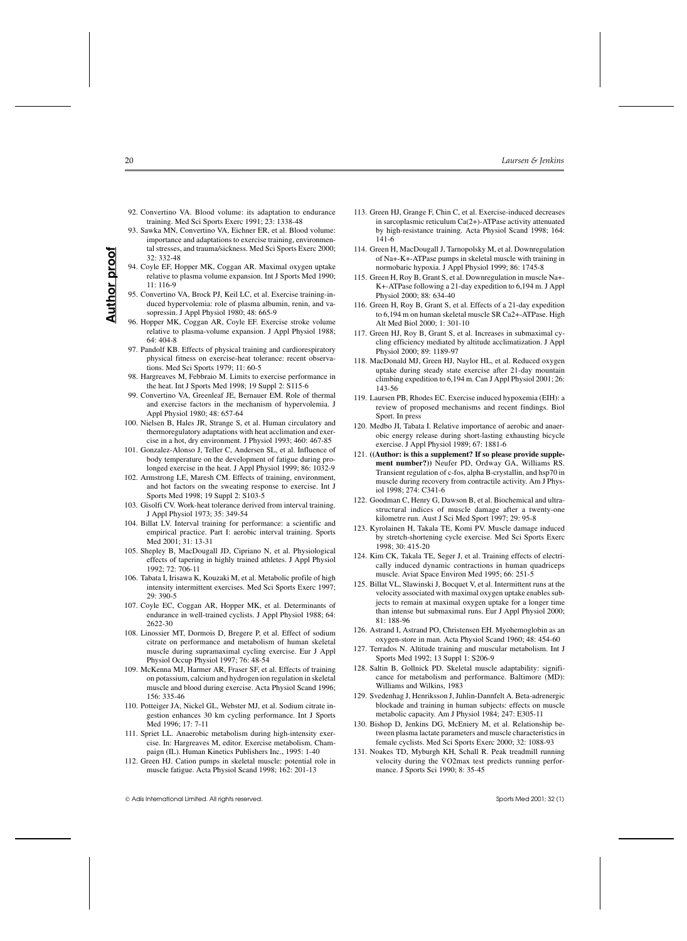- 92. Convertino VA. Blood volume: its adaptation to endurance training. Med Sci Sports Exerc 1991; 23: 1338-48
- 93. Sawka MN, Convertino VA, Eichner ER, et al. Blood volume: importance and adaptations to exercise training, environmental stresses, and trauma/sickness. Med Sci Sports Exerc 2000; 32: 332-48
- 94. Coyle EF, Hopper MK, Coggan AR. Maximal oxygen uptake relative to plasma volume expansion. Int J Sports Med 1990; 11: 116-9
- 95. Convertino VA, Brock PJ, Keil LC, et al. Exercise training-induced hypervolemia: role of plasma albumin, renin, and vasopressin. J Appl Physiol 1980; 48: 665-9
- 96. Hopper MK, Coggan AR, Coyle EF. Exercise stroke volume relative to plasma-volume expansion. J Appl Physiol 1988;  $64.404 - 8$
- 97. Pandolf KB. Effects of physical training and cardiorespiratory physical fitness on exercise-heat tolerance: recent observations. Med Sci Sports 1979; 11: 60-5
- 98. Hargreaves M, Febbraio M. Limits to exercise performance in the heat. Int J Sports Med 1998; 19 Suppl 2: S115-6
- 99. Convertino VA, Greenleaf JE, Bernauer EM. Role of thermal and exercise factors in the mechanism of hypervolemia. J Appl Physiol 1980; 48: 657-64
- 100. Nielsen B, Hales JR, Strange S, et al. Human circulatory and thermoregulatory adaptations with heat acclimation and exercise in a hot, dry environment. J Physiol 1993; 460: 467-85
- 101. Gonzalez-Alonso J, Teller C, Andersen SL, et al. Influence of body temperature on the development of fatigue during prolonged exercise in the heat. J Appl Physiol 1999; 86: 1032-9
- 102. Armstrong LE, Maresh CM. Effects of training, environment, and hot factors on the sweating response to exercise. Int J Sports Med 1998; 19 Suppl 2: S103-5
- 103. Gisolfi CV. Work-heat tolerance derived from interval training. J Appl Physiol 1973; 35: 349-54
- 104. Billat LV. Interval training for performance: a scientific and empirical practice. Part I: aerobic interval training. Sports Med 2001; 31: 13-31
- 105. Shepley B, MacDougall JD, Cipriano N, et al. Physiological effects of tapering in highly trained athletes. J Appl Physiol 1992; 72: 706-11
- 106. Tabata I, Irisawa K, Kouzaki M, et al. Metabolic profile of high intensity intermittent exercises. Med Sci Sports Exerc 1997; 29: 390-5
- 107. Coyle EC, Coggan AR, Hopper MK, et al. Determinants of endurance in well-trained cyclists. J Appl Physiol 1988; 64: 2622-30
- 108. Linossier MT, Dormois D, Bregere P, et al. Effect of sodium citrate on performance and metabolism of human skeletal muscle during supramaximal cycling exercise. Eur J Appl Physiol Occup Physiol 1997; 76: 48-54
- 109. McKenna MJ, Harmer AR, Fraser SF, et al. Effects of training on potassium, calcium and hydrogen ion regulation in skeletal muscle and blood during exercise. Acta Physiol Scand 1996; 156: 335-46
- 110. Potteiger JA, Nickel GL, Webster MJ, et al. Sodium citrate ingestion enhances 30 km cycling performance. Int J Sports Med 1996; 17: 7-11
- 111. Spriet LL. Anaerobic metabolism during high-intensity exercise. In: Hargreaves M, editor. Exercise metabolism. Champaign (IL). Human Kinetics Publishers Inc., 1995: 1-40
- 112. Green HJ. Cation pumps in skeletal muscle: potential role in muscle fatigue. Acta Physiol Scand 1998; 162: 201-13

- 113. Green HJ, Grange F, Chin C, et al. Exercise-induced decreases in sarcoplasmic reticulum Ca(2+)-ATPase activity attenuated by high-resistance training. Acta Physiol Scand 1998; 164: 141-6
- 114. Green H, MacDougall J, Tarnopolsky M, et al. Downregulation of Na+-K+-ATPase pumps in skeletal muscle with training in normobaric hypoxia. J Appl Physiol 1999; 86: 1745-8
- 115. Green H, Roy B, Grant S, et al. Downregulation in muscle Na+- K+-ATPase following a 21-day expedition to 6,194 m. J Appl Physiol 2000; 88: 634-40
- 116. Green H, Roy B, Grant S, et al. Effects of a 21-day expedition to 6,194 m on human skeletal muscle SR Ca2+-ATPase. High Alt Med Biol 2000; 1: 301-10
- 117. Green HJ, Roy B, Grant S, et al. Increases in submaximal cycling efficiency mediated by altitude acclimatization. J Appl Physiol 2000; 89: 1189-97
- 118. MacDonald MJ, Green HJ, Naylor HL, et al. Reduced oxygen uptake during steady state exercise after 21-day mountain climbing expedition to 6,194 m. Can J Appl Physiol 2001; 26: 143-56
- 119. Laursen PB, Rhodes EC. Exercise induced hypoxemia (EIH): a review of proposed mechanisms and recent findings. Biol Sport. In press
- 120. Medbo JI, Tabata I. Relative importance of aerobic and anaerobic energy release during short-lasting exhausting bicycle exercise. J Appl Physiol 1989; 67: 1881-6
- 121. **((Author: is this a supplement? If so please provide supplement number?))** Neufer PD, Ordway GA, Williams RS. Transient regulation of c-fos, alpha B-crystallin, and hsp70 in muscle during recovery from contractile activity. Am J Physiol 1998; 274: C341-6
- 122. Goodman C, Henry G, Dawson B, et al. Biochemical and ultrastructural indices of muscle damage after a twenty-one kilometre run. Aust J Sci Med Sport 1997; 29: 95-8
- 123. Kyrolainen H, Takala TE, Komi PV. Muscle damage induced by stretch-shortening cycle exercise. Med Sci Sports Exerc 1998; 30: 415-20
- 124. Kim CK, Takala TE, Seger J, et al. Training effects of electrically induced dynamic contractions in human quadriceps muscle. Aviat Space Environ Med 1995; 66: 251-5
- 125. Billat VL, Slawinski J, Bocquet V, et al. Intermittent runs at the velocity associated with maximal oxygen uptake enables subjects to remain at maximal oxygen uptake for a longer time than intense but submaximal runs. Eur J Appl Physiol 2000; 81: 188-96
- 126. Astrand I, Astrand PO, Christensen EH. Myohemoglobin as an oxygen-store in man. Acta Physiol Scand 1960; 48: 454-60
- 127. Terrados N. Altitude training and muscular metabolism. Int J Sports Med 1992; 13 Suppl 1: S206-9
- 128. Saltin B, Gollnick PD. Skeletal muscle adaptability: significance for metabolism and performance. Baltimore (MD): Williams and Wilkins, 1983
- 129. Svedenhag J, Henriksson J, Juhlin-Dannfelt A. Beta-adrenergic blockade and training in human subjects: effects on muscle metabolic capacity. Am J Physiol 1984; 247: E305-11
- 130. Bishop D, Jenkins DG, McEniery M, et al. Relationship between plasma lactate parameters and muscle characteristics in female cyclists. Med Sci Sports Exerc 2000; 32: 1088-93
- 131. Noakes TD, Myburgh KH, Schall R. Peak treadmill running . velocity during the V O2max test predicts running performance. J Sports Sci 1990; 8: 35-45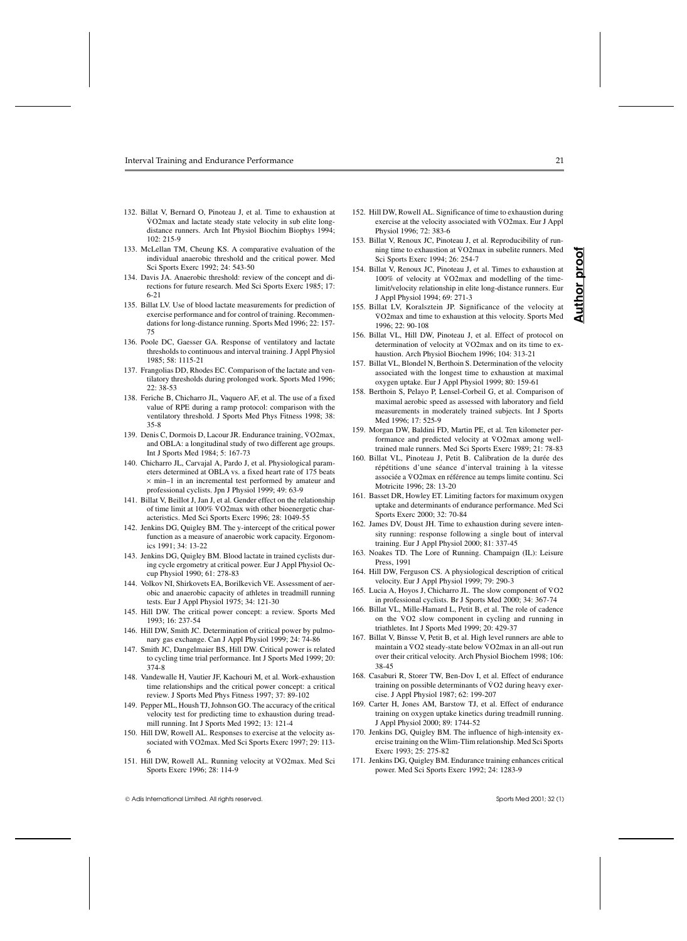- 132. Billat V, Bernard O, Pinoteau J, et al. Time to exhaustion at WO2max and lactate steady state velocity in sub elite longdistance runners. Arch Int Physiol Biochim Biophys 1994; 102: 215-9
- 133. McLellan TM, Cheung KS. A comparative evaluation of the individual anaerobic threshold and the critical power. Med Sci Sports Exerc 1992; 24: 543-50
- 134. Davis JA. Anaerobic threshold: review of the concept and directions for future research. Med Sci Sports Exerc 1985; 17: 6-21
- 135. Billat LV. Use of blood lactate measurements for prediction of exercise performance and for control of training. Recommendations for long-distance running. Sports Med 1996; 22: 157- 75
- 136. Poole DC, Gaesser GA. Response of ventilatory and lactate thresholds to continuous and interval training. J Appl Physiol 1985; 58: 1115-21
- 137. Frangolias DD, Rhodes EC. Comparison of the lactate and ventilatory thresholds during prolonged work. Sports Med 1996;  $22.38 - 53$
- 138. Feriche B, Chicharro JL, Vaquero AF, et al. The use of a fixed value of RPE during a ramp protocol: comparison with the ventilatory threshold. J Sports Med Phys Fitness 1998; 38: 35-8
- 139. Denis C, Dormois D, Lacour JR. Endurance training, VO2max, and OBLA: a longitudinal study of two different age groups. Int J Sports Med 1984; 5: 167-73
- 140. Chicharro JL, Carvajal A, Pardo J, et al. Physiological parameters determined at OBLA vs. a fixed heart rate of 175 beats  $\times$  min-1 in an incremental test performed by amateur and professional cyclists. Jpn J Physiol 1999; 49: 63-9
- 141. Billat V, Beillot J, Jan J, et al. Gender effect on the relationship of time limit at 100% VO2max with other bioenergetic characteristics. Med Sci Sports Exerc 1996; 28: 1049-55
- 142. Jenkins DG, Quigley BM. The y-intercept of the critical power function as a measure of anaerobic work capacity. Ergonomics 1991; 34: 13-22
- 143. Jenkins DG, Quigley BM. Blood lactate in trained cyclists during cycle ergometry at critical power. Eur J Appl Physiol Occup Physiol 1990; 61: 278-83
- 144. Volkov NI, Shirkovets EA, Borilkevich VE. Assessment of aerobic and anaerobic capacity of athletes in treadmill running tests. Eur J Appl Physiol 1975; 34: 121-30
- 145. Hill DW. The critical power concept: a review. Sports Med 1993; 16: 237-54
- 146. Hill DW, Smith JC. Determination of critical power by pulmonary gas exchange. Can J Appl Physiol 1999; 24: 74-86
- 147. Smith JC, Dangelmaier BS, Hill DW. Critical power is related to cycling time trial performance. Int J Sports Med 1999; 20: 374-8
- 148. Vandewalle H, Vautier JF, Kachouri M, et al. Work-exhaustion time relationships and the critical power concept: a critical review. J Sports Med Phys Fitness 1997; 37: 89-102
- 149. Pepper ML, Housh TJ, Johnson GO. The accuracy of the critical velocity test for predicting time to exhaustion during treadmill running. Int J Sports Med 1992; 13: 121-4
- 150. Hill DW, Rowell AL. Responses to exercise at the velocity associated with V . O2max. Med Sci Sports Exerc 1997; 29: 113- 6
- 151. Hill DW, Rowell AL. Running velocity at VO2max. Med Sci Sports Exerc 1996; 28: 114-9

- 152. Hill DW, Rowell AL. Significance of time to exhaustion during exercise at the velocity associated with VO2max. Eur J Appl Physiol 1996; 72: 383-6
- 153. Billat V, Renoux JC, Pinoteau J, et al. Reproducibility of runmat *i*, remodelly self-indicated *i*, et al. respectively of rain ning time to exhaustion at  $\sqrt{O2}$  max in subelite runners. Med Sci Sports Exerc 1994; 26: 254-7
- 154. Billat V, Renoux JC, Pinoteau J, et al. Times to exhaustion at 100% of velocity at V . O2max and modelling of the timelimit/velocity relationship in elite long-distance runners. Eur J Appl Physiol 1994; 69: 271-3
- 155. Billat LV, Koralsztein JP. Significance of the velocity at V . O2max and time to exhaustion at this velocity. Sports Med 1996; 22: 90-108
- 156. Billat VL, Hill DW, Pinoteau J, et al. Effect of protocol on determination of velocity at VO2max and on its time to exhaustion. Arch Physiol Biochem 1996; 104: 313-21
- 157. Billat VL, Blondel N, Berthoin S. Determination of the velocity associated with the longest time to exhaustion at maximal oxygen uptake. Eur J Appl Physiol 1999; 80: 159-61
- 158. Berthoin S, Pelayo P, Lensel-Corbeil G, et al. Comparison of maximal aerobic speed as assessed with laboratory and field measurements in moderately trained subjects. Int J Sports Med 1996; 17: 525-9
- 159. Morgan DW, Baldini FD, Martin PE, et al. Ten kilometer performance and predicted velocity at VO2max among welltrained male runners. Med Sci Sports Exerc 1989; 21: 78-83
- 160. Billat VL, Pinoteau J, Petit B. Calibration de la durée des répétitions d'une séance d'interval training à la vitesse associée a V . O2max en référence au temps limite continu. Sci Motricite 1996; 28: 13-20
- 161. Basset DR, Howley ET. Limiting factors for maximum oxygen uptake and determinants of endurance performance. Med Sci Sports Exerc 2000; 32: 70-84
- 162. James DV, Doust JH. Time to exhaustion during severe intensity running: response following a single bout of interval training. Eur J Appl Physiol 2000; 81: 337-45
- 163. Noakes TD. The Lore of Running. Champaign (IL): Leisure Press, 1991
- 164. Hill DW, Ferguson CS. A physiological description of critical velocity. Eur J Appl Physiol 1999; 79: 290-3
- 165. Lucia A, Hoyos J, Chicharro JL. The slow component of VO2 in professional cyclists. Br J Sports Med 2000; 34: 367-74
- 166. Billat VL, Mille-Hamard L, Petit B, et al. The role of cadence on the  $\sqrt{62}$  slow component in cycling and running in triathletes. Int J Sports Med 1999; 20: 429-37
- 167. Billat V, Binsse V, Petit B, et al. High level runners are able to . . maintain a V O2 steady-state below V O2max in an all-out run over their critical velocity. Arch Physiol Biochem 1998; 106: 38-45
- 168. Casaburi R, Storer TW, Ben-Dov I, et al. Effect of endurance training on possible determinants of VO2 during heavy exercise. J Appl Physiol 1987; 62: 199-207
- 169. Carter H, Jones AM, Barstow TJ, et al. Effect of endurance training on oxygen uptake kinetics during treadmill running. J Appl Physiol 2000; 89: 1744-52
- 170. Jenkins DG, Quigley BM. The influence of high-intensity exercise training on the Wlim-Tlim relationship. Med Sci Sports Exerc 1993; 25: 275-82
- 171. Jenkins DG, Quigley BM. Endurance training enhances critical power. Med Sci Sports Exerc 1992; 24: 1283-9

ă ₫